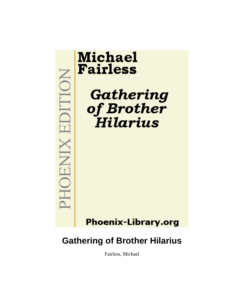

Fairless, Michael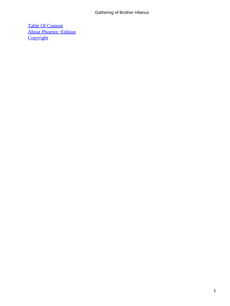[Table Of Content](#page-78-0) [About Phoenix−Edition](#page-80-0) **[Copyright](#page-81-0)**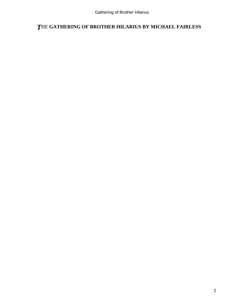## *T*HE **GATHERING OF BROTHER HILARIUS BY MICHAEL FAIRLESS**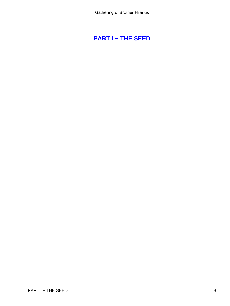## **[PART I − THE SEED](#page-78-0)**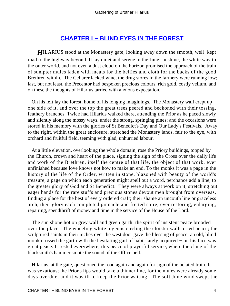## **[CHAPTER I − BLIND EYES IN THE FOREST](#page-78-0)**

*HILARIUS* stood at the Monastery gate, looking away down the smooth, well–kept road to the highway beyond. It lay quiet and serene in the June sunshine, the white way to the outer world, and not even a dust cloud on the horizon promised the approach of the train of sumpter mules laden with meats for the bellies and cloth for the backs of the good Brethren within. The Cellarer lacked wine, the drug stores in the farmery were running low; last, but not least, the Precentor had bespoken precious colours, rich gold, costly vellum, and on these the thoughts of Hilarius tarried with anxious expectation.

 On his left lay the forest, home of his longing imaginings. The Monastery wall crept up one side of it, and over the top the great trees peered and beckoned with their tossing, feathery branches. Twice had Hilarius walked there, attending the Prior as he paced slowly and silently along the mossy ways, under the strong, springing pines; and the occasions were stored in his memory with the glories of St Benedict's Day and Our Lady's Festivals. Away to the right, within the great enclosure, stretched the Monastery lands, fair to the eye, with orchard and fruitful field, teeming with glad, unhurried labour.

 At a little elevation, overlooking the whole domain, rose the Priory buildings, topped by the Church, crown and heart of the place, signing the sign of the Cross over the daily life and work of the Brethren, itself the centre of that life, the object of that work, ever unfinished because love knows not how to make an end. To the monks it was a page in the history of the life of the Order, written in stone, blazoned with beauty of the world's treasure; a page on which each generation might spell out a word, perchance add a line, to the greater glory of God and St Benedict. They were always at work on it, stretching out eager hands for the rare stuffs and precious stones devout men brought from overseas, finding a place for the best of every ordered craft; their shame an uncouth line or graceless arch, their glory each completed pinnacle and fretted spire; ever restoring, enlarging, repairing, spendthrift of money and time in the service of the House of the Lord.

 The sun shone hot on grey wall and green garth; the spirit of insistent peace brooded over the place. The wheeling white pigeons circling the cloister walls cried peace; the sculptured saints in their niches over the west door gave the blessing of peace; an old, blind monk crossed the garth with the hesitating gait of habit lately acquired – on his face was great peace. It rested everywhere, this peace of prayerful service, where the clang of the blacksmith's hammer smote the sound of the Office bell.

 Hilarius, at the gate, questioned the road again and again for sign of the belated train. It was vexatious; the Prior's lips would take a thinner line, for the mules were already some days overdue; and it was ill to keep the Prior waiting. The soft June wind swept the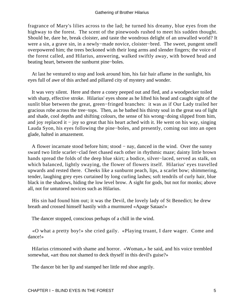fragrance of Mary's lilies across to the lad; he turned his dreamy, blue eyes from the highway to the forest. The scent of the pinewoods rushed to meet his sudden thought. Should he, dare he, break cloister, and taste the wondrous delight of an unwalled world? It were a sin, a grave sin, in a newly−made novice, cloister−bred. The sweet, pungent smell overpowered him; the trees beckoned with their long arms and slender fingers; the voice of the forest called, and Hilarius, answering, walked swiftly away, with bowed head and beating heart, between the sunburnt pine−boles.

 At last he ventured to stop and look around him, his fair hair aflame in the sunlight, his eyes full of awe of this arched and pillared city of mystery and wonder.

 It was very silent. Here and there a coney peeped out and fled, and a woodpecker toiled with sharp, effective stroke. Hilarius' eyes shone as he lifted his head and caught sight of the sunlit blue between the great, green−fringed branches: it was as if Our Lady trailed her gracious robe across the tree−tops. Then, as he bathed his thirsty soul in the great sea of light and shade, cool depths and shifting colours, the sense of his wrong−doing slipped from him, and joy replaced it − joy so great that his heart ached with it. He went on his way, singing Lauda Syon, his eyes following the pine−boles, and presently, coming out into an open glade, halted in amazement.

 A flower incarnate stood before him; stood − nay, danced in the wind. Over the sunny sward two little scarlet−clad feet chased each other in rhythmic maze; dainty little brown hands spread the folds of the deep blue skirt; a bodice, silver−laced, served as stalk, on which balanced, lightly swaying, the flower of flowers itself. Hilarius' eyes travelled upwards and rested there. Cheeks like a sunburnt peach, lips, a scarlet bow; shimmering, tender, laughing grey eyes curtained by long curling lashes; soft tendrils of curly hair, blue black in the shadows, hiding the low level brow. A sight for gods, but not for monks; above all, not for untutored novices such as Hilarius.

 His sin had found him out; it was the Devil, the lovely lady of St Benedict; he drew breath and crossed himself hastily with a murmured «Apage Sataas!»

The dancer stopped, conscious perhaps of a chill in the wind.

 «O what a pretty boy!» she cried gaily. «Playing truant, I dare wager. Come and dance!»

 Hilarius crimsoned with shame and horror. «Woman,» he said, and his voice trembled somewhat, «art thou not shamed to deck thyself in this devil's guise?»

The dancer bit her lip and stamped her little red shoe angrily.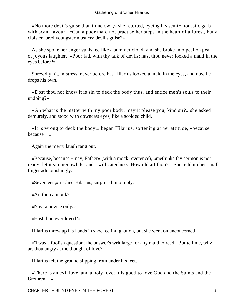«No more devil's guise than thine own,» she retorted, eyeing his semi−monastic garb with scant favour. «Can a poor maid not practise her steps in the heart of a forest, but a cloister−bred youngster must cry devil's guise?»

 As she spoke her anger vanished like a summer cloud, and she broke into peal on peal of joyous laughter. «Poor lad, with thy talk of devils; hast thou never looked a maid in the eyes before?»

 Shrewdly hit, mistress; never before has Hilarius looked a maid in the eyes, and now he drops his own.

 «Dost thou not know it is sin to deck the body thus, and entice men's souls to their undoing?»

 «An what is the matter with my poor body, may it please you, kind sir?» she asked demurely, and stood with downcast eyes, like a scolded child.

 «It is wrong to deck the body,» began Hilarius, softening at her attitude, «because, because − »

Again the merry laugh rang out.

 «Because, because − nay, Father» (with a mock reverence), «methinks thy sermon is not ready; let it simmer awhile, and I will catechise. How old art thou?» She held up her small finger admonishingly.

«Seventeen,» replied Hilarius, surprised into reply.

«Art thou a monk?»

«Nay, a novice only.»

«Hast thou ever loved?»

Hilarius threw up his hands in shocked indignation, but she went on unconcerned −

 «'Twas a foolish question; the answer's writ large for any maid to read. But tell me, why art thou angry at the thought of love?»

Hilarius felt the ground slipping from under his feet.

 «There is an evil love, and a holy love; it is good to love God and the Saints and the Brethren  $-$  »

CHAPTER I − BLIND EYES IN THE FOREST 6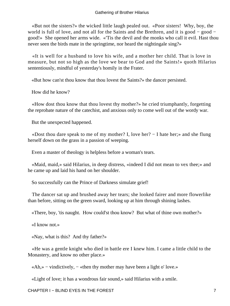«But not the sisters?» the wicked little laugh pealed out. «Poor sisters! Why, boy, the world is full of love, and not all for the Saints and the Brethren, and it is good – good – good!» She opened her arms wide. «'Tis the devil and the monks who call it evil. Hast thou never seen the birds mate in the springtime, nor heard the nightingale sing?»

 «It is well for a husband to love his wife, and a mother her child. That is love in measure, but not so high as the love we bear to God and the Saints!» quoth Hilarius sententiously, mindful of yesterday's homily in the Frater.

«But how can'st thou know that thou lovest the Saints?» the dancer persisted.

How did he know?

 «How dost thou know that thou lovest thy mother?» he cried triumphantly, forgetting the reprobate nature of the catechist, and anxious only to come well out of the wordy war.

But the unexpected happened.

 «Dost thou dare speak to me of my mother? I, love her? − I hate her;» and she flung herself down on the grass in a passion of weeping.

Even a master of theology is helpless before a woman's tears.

 «Maid, maid,» said Hilarius, in deep distress, «indeed I did not mean to vex thee;» and he came up and laid his hand on her shoulder.

So successfully can the Prince of Darkness simulate grief!

 The dancer sat up and brushed away her tears; she looked fairer and more flowerlike than before, sitting on the green sward, looking up at him through shining lashes.

«There, boy, 'tis naught. How could'st thou know? But what of thine own mother?»

«I know not.»

«Nay, what is this? And thy father?»

 «He was a gentle knight who died in battle ere I knew him. I came a little child to the Monastery, and know no other place.»

«Ah,» − vindictively, − «then thy mother may have been a light o' love.»

«Light of love; it has a wondrous fair sound,» said Hilarius with a smile.

CHAPTER I − BLIND EYES IN THE FOREST THE TO THE TOTAL THE TOTAL THE TOTAL THE TOTAL THE TOTAL THE TOTAL THE TO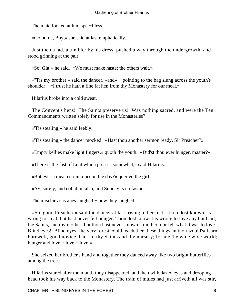The maid looked at him speechless.

«Go home, Boy,» she said at last emphatically.

 Just then a lad, a tumbler by his dress, pushed a way through the undergrowth, and stood grinning at the pair.

«So, Gia!» he said. «We must make haste; the others wait.»

 «''Tis my brother,» said the dancer, «and» − pointing to the bag slung across the youth's shoulder – «I trust he hath a fine fat hen from thy Monastery for our meal.»

Hilarius broke into a cold sweat.

 The Convent's hens! The Saints preserve us! Was nothing sacred, and were the Ten Commandments written solely for use in the Monasteries?

«'Tis stealing,» he said feebly.

«'Tis stealing,» the dancer mocked. «Hast thou another sermon ready, Sir Preacher?»

«Empty bellies make light fingers,» quoth the youth. «Did'st thou ever hunger, master?»

«There is the fast of Lent which presses somewhat,» said Hilarius.

«But ever a meal certain once in the day?» queried the girl.

«Ay, surely, and collation also; and Sunday is no fast.»

The mischievous apes laughed − how they laughed!

 «So, good Preacher,» said the dancer at last, rising to her feet, «thou dost know it is wrong to steal; but hast never felt hunger. Thou dost know it is wrong to love any but God, the Saints, and thy mother; but thou hast never known a mother, nor felt what it was to love. Blind eyes! Blind eyes! the very forest could teach thee these things an thou would'st learn. Farewell, good novice, back to thy Saints and thy nursery; for me the wide wide world; hunger and love – love – love!»

 She seized her brother's hand and together they danced away like two bright butterflies among the trees.

 Hilarius stared after them until they disappeared, and then with dazed eyes and drooping head took his way back to the Monastery. The train of mules had just arrived; all was stir,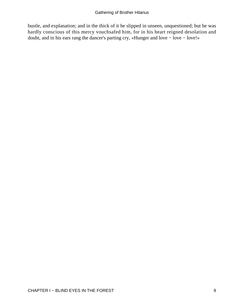bustle, and explanation; and in the thick of it he slipped in unseen, unquestioned; but he was hardly conscious of this mercy vouchsafed him, for in his heart reigned desolation and doubt, and in his ears rang the dancer's parting cry, «Hunger and love − love − love!»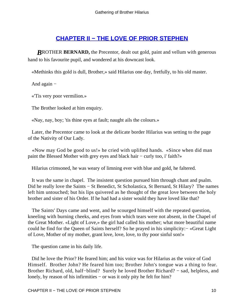## **[CHAPTER II − THE LOVE OF PRIOR STEPHEN](#page-78-0)**

*BROTHER BERNARD*, the Precentor, dealt out gold, paint and vellum with generous hand to his favourite pupil, and wondered at his downcast look.

«Methinks this gold is dull, Brother,» said Hilarius one day, fretfully, to his old master.

And again −

«'Tis very poor vermilion.»

The Brother looked at him enquiry.

«Nay, nay, boy; 'tis thine eyes at fault; naught ails the colours.»

 Later, the Precentor came to look at the delicate border Hilarius was setting to the page of the Nativity of Our Lady.

 «Now may God be good to us!» he cried with uplifted hands. «Since when did man paint the Blessed Mother with grey eyes and black hair – curly too, i' faith?»

Hilarius crimsoned, he was weary of limning ever with blue and gold, he faltered.

 It was the same in chapel. The insistent question pursued him through chant and psalm. Did he really love the Saints – St Benedict, St Scholastica, St Bernard, St Hilary? The names left him untouched; but his lips quivered as he thought of the great love between the holy brother and sister of his Order. If he had had a sister would they have loved like that?

 The Saints' Days came and went, and he scourged himself with the repeated question, kneeling with burning cheeks, and eyes from which tears were not absent, in the Chapel of the Great Mother. «Light of Love,» the girl had called his mother; what more beautiful name could he find for the Queen of Saints herself? So he prayed in his simplicity:− «Great Light of Love, Mother of my mother, grant love, love, love, to thy poor sinful son!»

The question came in his daily life.

 Did he love the Prior? He feared him; and his voice was for Hilarius as the voice of God Himself. Brother John? He feared him too; Brother John's tongue was a thing to fear. Brother Richard, old, half−blind? Surely he loved Brother Richard? − sad, helpless, and lonely, by reason of his infirmities − or was it only pity he felt for him?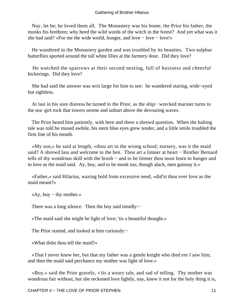Nay, let be; he loved them all. The Monastery was his home, the Prior his father, the monks his brethren; why heed the wild words of the witch in the forest? And yet what was it she had said? «For me the wide world, hunger, and love − love − love!»

 He wandered in the Monastery garden and was troubled by its beauties. Two sulphur butterflies sported around the tall white lilies at the farmery door. Did they love?

 He watched the sparrows at their second nesting, full of business and cheerful bickerings. Did they love?

 She had said the answer was writ large for him to see: he wandered staring, wide−eyed but sightless.

 At last in his sore distress he turned to the Prior, as the ship− wrecked mariner turns to the sea−girt rock that towers serene and unhurt above the devouring waves.

 The Prior heard him patiently, with here and there a shrewd question. When the halting tale was told he mused awhile, his stern blue eyes grew tender, and a little smile troubled the firm line of his mouth.

 «My son,» he said at length, «thou art in the wrong school; nursery, was it the maid said? A shrewd lass and welcome to the hen. Thou art a limner at heart − Brother Bernard tells of thy wondrous skill with the brush − and to be limner thou must learn to hunger and to love as the maid said. Ay, boy, and to be monk too, though alack, men gainsay it.»

 «Father,» said Hilarius, waxing bold from excessive need, «did'st thou ever love as the maid meant?»

«Ay, boy − thy mother.»

There was a long silence. Then the boy said timidly:−

«The maid said she might be light of love; 'tis a beautiful thought.»

The Prior started, and looked at him curiously:−

«What didst thou tell the maid?»

 «That I never knew her, but that my father was a gentle knight who died ere I saw him; and then the maid said perchance my mother was light of love.»

 «Boy,» said the Prior gravely, «'tis a weary tale, and sad of telling. Thy mother was wondrous fair without, but she reckoned love lightly, nay, knew it not for the holy thing it is,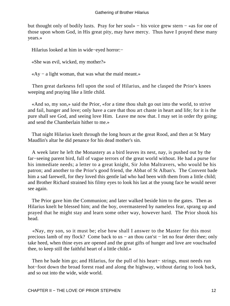but thought only of bodily lusts. Pray for her soul» − his voice grew stern − «as for one of those upon whom God, in His great pity, may have mercy. Thus have I prayed these many years.»

Hilarius looked at him in wide−eyed horror:−

«She was evil, wicked, my mother?»

«Ay − a light woman, that was what the maid meant.»

 Then great darkness fell upon the soul of Hilarius, and he clasped the Prior's knees weeping and praying like a little child.

 «And so, my son,» said the Prior, «for a time thou shalt go out into the world, to strive and fail, hunger and love; only have a care that thou art chaste in heart and life; for it is the pure shall see God, and seeing love Him. Leave me now that. I may set in order thy going; and send the Chamberlain hither to me.»

 That night Hilarius knelt through the long hours at the great Rood, and then at St Mary Maudlin's altar he did penance for his dead mother's sin.

 A week later he left the Monastery as a bird leaves its nest, nay, is pushed out by the far−seeing parent bird, full of vague terrors of the great world without. He had a purse for his immediate needs; a letter to a great knight, Sir John Maltravers, who would be his patron; and another to the Prior's good friend, the Abbat of St Alban's. The Convent bade him a sad farewell, for they loved this gentle lad who had been with them from a little child; and Brother Richard strained his filmy eyes to look his last at the young face he would never see again.

 The Prior gave him the Communion; and later walked beside him to the gates. Then as Hilarius knelt he blessed him; and the boy, overmastered by nameless fear, sprang up and prayed that he might stay and learn some other way, however hard. The Prior shook his head.

 «Nay, my son, so it must be; else how shall I answer to the Master for this most precious lamb of my flock? Come back to us − an thou can'st − let no fear deter thee; only take heed, when thine eyes are opened and the great gifts of hunger and love are vouchsafed thee, to keep still the faithful heart of a little child.»

 Then he bade him go; and Hilarius, for the pull of his heart− strings, must needs run hot−foot down the broad forest road and along the highway, without daring to look back, and so out into the wide, wide world.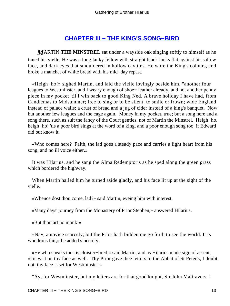## **[CHAPTER III − THE KING'S SONG−BIRD](#page-78-0)**

*M*ARTIN **THE MINSTREL** sat under a wayside oak singing softly to himself as he tuned his vielle. He was a long lanky fellow with straight black locks flat against his sallow face, and dark eyes that smouldered in hollow cavities. He wore the King's colours, and broke a manchet of white bread with his mid−day repast.

 «Heigh−ho!» sighed Martin, and laid the vielle lovingly beside him, "another four leagues to Westminster, and I weary enough of shoe− leather already, and not another penny piece in my pocket 'til I win back to good King Ned. A brave holiday I have had, from Candlemas to Midsummer; free to sing or to be silent, to smile or frown; wide England instead of palace walls; a crust of bread and a jug of cider instead of a king's banquet. Now but another few leagues and the cage again. Money in my pocket, true; but a song here and a song there, such as suit the fancy of the Court gentles, not of Martin the Minstrel. Heigh−ho, heigh–ho! 'tis a poor bird sings at the word of a king, and a poor enough song too, if Edward did but know it.

 «Who comes here? Faith, the lad goes a steady pace and carries a light heart from his song; and no ill voice either.»

 It was Hilarius, and he sang the Alma Redemptoris as he sped along the green grass which bordered the highway.

 When Martin hailed him he turned aside gladly, and his face lit up at the sight of the vielle.

«Whence dost thou come, lad?» said Martin, eyeing him with interest.

«Many days' journey from the Monastery of Prior Stephen,» answered Hilarius.

«But thou art no monk!»

 «Nay, a novice scarcely; but the Prior hath bidden me go forth to see the world. It is wondrous fair,» he added sincerely.

 «He who speaks thus is cloister−bred,» said Martin, and as Hilarius made sign of assent, «'tis writ on thy face as well. Thy Prior gave thee letters to the Abbat of St Peter's, I doubt not; thy face is set for Westminster.»

"Ay, for Westminster, but my letters are for that good knight, Sir John Maltravers. I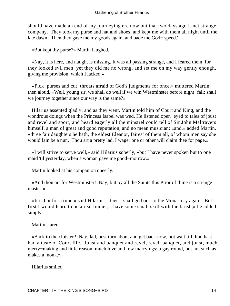should have made an end of my journeying ere now but that two days ago I met strange company. They took my purse and hat and shoes, and kept me with them all night until the late dawn. Then they gave me my goods again, and bade me God− speed.'

«But kept thy purse?» Martin laughed.

 «Nay, it is here, and naught is missing. It was all passing strange, and I feared them, for they looked evil men; yet they did me no wrong, and set me on my way gently enough, giving me provision, which I lacked.»

 «Pick−purses and cut−throats afraid of God's judgments for once,» muttered Martin; then aloud, «Well, young sir, we shall do well if we win Westminster before night−fall; shall we journey together since our way is the same?»

 Hilarius assented gladly; and as they went, Martin told him of Court and King, and the wondrous doings when the Princess Isabel was wed. He listened open−eyed to tales of joust and revel and sport; and heard eagerly all the minstrel could tell of Sir John Maltravers himself, a man of great and good reputation, and no mean musician; «and,» added Martin, «three fair daughters he hath, the eldest Eleanor, fairest of them all, of whom men say she would fain be a nun. Thou art a pretty lad, I wager one or other will claim thee for page.»

 «I will strive to serve well,» said Hilarius soberly, «but I have never spoken but to one maid 'til yesterday, when a woman gave me good−morrow.»

Martin looked at his companion queerly.

 «And thou art for Westminster! Nay, but by all the Saints this Prior of thine is a strange master!»

 «It is but for a time,» said Hilarius, «then I shall go back to the Monastery again. But first I would learn to be a real limner; I have some small skill with the brush,» he added simply.

#### Martin stared.

 «Back to the cloister? Nay, lad, best turn about and get back now, not wait till thou hast had a taste of Court life. Joust and banquet and revel, revel, banquet, and joust, much merry−making and little reason, much love and few marryings: a gay round, but not such as makes a monk.»

Hilarius smiled.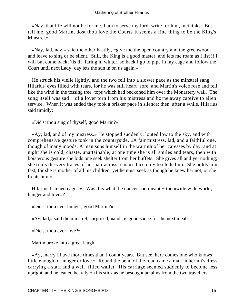«Nay, that life will not be for me. I am to serve my lord, write for him, methinks. But tell me, good Martin, dost thou love the Court? It seems a fine thing to be the King's Minstrel.»

 «Nay, lad, nay,» said the other hastily, «give me the open country and the greenwood, and leave to sing or be silent. Still, the King is a good master, and lets me roam as I list if I will but come back; 'tis ill−faring in winter, so back I go to pipe in my cage and follow the Court until next Lady−day lets the sun in on us again.»

 He struck his vielle lightly, and the two fell into a slower pace as the minstrel sang. Hilarius' eyes filled with tears, for he was still heart−sore, and Martin's voice rose and fell like the wind in the tossing tree−tops which had beckoned him over the Monastery wall. The song itself was sad − of a lover torn from his mistress and borne away captive to alien service. When it was ended they took a brisker pace in silence; then, after a while, Hilarius said timidly:−

«Did'st thou sing of thyself, good Martin?»

 «Ay, lad, and of my mistress.» He stopped suddenly, louted low to the sky, and with comprehensive gesture took in the countryside. «A fair mistress, lad, and a faithful one, though of many moods. A man suns himself in the warmth of her caresses by day, and at night she is cold, chaste, unattainable; at one time she is all smiles and tears, then with boisterous gesture she bids one seek shelter from her buffets. She gives all and yet nothing; she trails the very traces of her hair across a man's face only to elude him. She holds him fast, for she is mother of all his children; yet he must seek as though he knew her not, or she flouts him.»

Hilarius listened eagerly. Was this what the dancer had meant – the «wide wide world, hunger and love»?

«Did'st thou ever hunger, good Martin?»

«Ay, lad,» said the minstrel, surprised, «and 'tis good sauce for the next meal»

«Did'st thou ever love?»

Martin broke into a great laugh.

 «Ay, marry I have more times than I count years. But see, here comes one who knows little enough of hunger or love.» Round the bend of the road came a man in hermit's dress carrying a staff and a well−filled wallet. His carriage seemed suddenly to become less upright, and he leaned heavily on his stick as he besought an alms from the two travellers.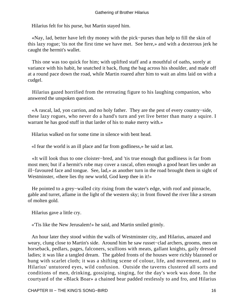Hilarius felt for his purse, but Martin stayed him.

 «Nay, lad, better have left thy money with the pick−purses than help to fill the skin of this lazy rogue; 'tis not the first time we have met. See here,» and with a dexterous jerk he caught the hermit's wallet.

 This one was too quick for him; with uplifted staff and a mouthful of oaths, sorely at variance with his habit, he snatched it back, flung the bag across his shoulder, and made off at a round pace down the road, while Martin roared after him to wait an alms laid on with a cudgel.

 Hilarius gazed horrified from the retreating figure to his laughing companion, who answered the unspoken question.

 «A rascal, lad, yon carrion, and no holy father. They are the pest of every country−side, these lazy rogues, who never do a hand's turn and yet live better than many a squire. I warrant he has good stuff in that larder of his to make merry with.»

Hilarius walked on for some time in silence with bent head.

«I fear the world is an ill place and far from godliness,» he said at last.

 «It will look thus to one cloister−bred, and 'tis true enough that godliness is far from most men; but if a hermit's robe may cover a rascal, often enough a good heart lies under an ill−favoured face and tongue. See, lad,» as another turn in the road brought them in sight of Westminster, «there lies thy new world, God keep thee in it!»

 He pointed to a grey−walled city rising from the water's edge, with roof and pinnacle, gable and turret, aflame in the light of the western sky; in front flowed the river like a stream of molten gold.

Hilarius gave a little cry.

«'Tis like the New Jerusalem!» he said, and Martin smiled grimly.

 An hour later they stood within the walls of Westminster city, and Hilarius, amazed and weary, clung close to Martin's side. Around him he saw russet−clad archers, grooms, men on horseback, pedlars, pages, falconers, scullions with meats, gallant knights, gaily dressed ladies; it was like a tangled dream. The gabled fronts of the houses were richly blazoned or hung with scarlet cloth; it was a shifting scene of colour, life, and movement, and to Hilarius' untutored eyes, wild confusion. Outside the taverns clustered all sorts and conditions of men, drinking, gossiping, singing, for the day's work was done. In the courtyard of the «Black Boar» a chained bear padded restlessly to and fro, and Hilarius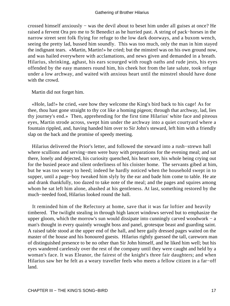crossed himself anxiously − was the devil about to beset him under all guises at once? He raised a fervent Ora pro me to St Benedict as he hurried past. A string of pack−horses in the narrow street sent folk flying for refuge to the low dark doorways, and a buxom wench, seeing the pretty lad, bussed him soundly. This was too much, only the man in him stayed the indignant tears. «Martin, Martin!» he cried; but the minstrel was on his own ground now, and was hailed everywhere with acclamations, and news given and demanded in a breath. Hilarius, shrinking, aghast, his ears scourged with rough oaths and rude jests, his eyes offended by the easy manners round him, his cheek hot from the late salute, took refuge under a low archway, and waited with anxious heart until the minstrel should have done with the crowd.

Martin did not forget him.

 «Hole, lad!» he cried, «see how they welcome the King's bird back to his cage! As for thee, thou hast gone straight to thy cot like a homing pigeon; through that archway, lad, lies thy journey's end.» Then, apprehending for the first time Hilarius' white face and piteous eyes, Martin strode across, swept him under the archway into a quiet courtyard where a fountain rippled, and, having handed him over to Sir John's steward, left him with a friendly slap on the back and the promise of speedy meeting.

 Hilarius delivered the Prior's letter, and followed the steward into a rush−strewn hall where scullions and serving−men were busy with preparations for the evening meal; and sat there, lonely and dejected, his curiosity quenched, his heart sore, his whole being crying out for the busied peace and silent orderliness of his cloister home. The servants gibed at him, but he was too weary to heed; indeed he hardly noticed when the household swept in to supper, until a page−boy tweaked him slyly by the ear and bade him come to table. He ate and drank thankfully, too dazed to take note of the meal; and the pages and squires among whom he sat left him alone, abashed at his gentleness. At last, something restored by the much−needed food, Hilarius looked round the hall.

 It reminded him of the Refectory at home, save that it was far loftier and heavily timbered. The twilight stealing in through high lancet windows served but to emphasize the upper gloom, which the morrow's sun would dissipate into cunningly carved woodwork − a man's thought in every quaintly wrought boss and panel, grotesque beast and guarding saint. A raised table stood at the upper end of the hall, and here gaily dressed pages waited on the master of the house and his honoured guests. Hilarius rightly guessed the tall, careworn man of distinguished presence to be no other than Sir John himself, and he liked him well; but his eyes wandered carelessly over the rest of the company until they were caught and held by a woman's face. It was Eleanor, the fairest of the knight's three fair daughters; and when Hilarius saw her he felt as a weary traveller feels who meets a fellow citizen in a far−off land.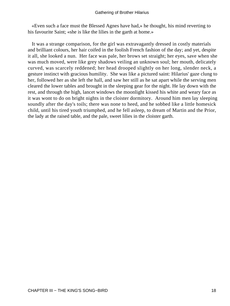«Even such a face must the Blessed Agnes have had,» he thought, his mind reverting to his favourite Saint; «she is like the lilies in the garth at home.»

 It was a strange comparison, for the girl was extravagantly dressed in costly materials and brilliant colours, her hair coifed in the foolish French fashion of the day; and yet, despite it all, she looked a nun. Her face was pale, her brows set straight; her eyes, save when she was much moved, were like grey shadows veiling an unknown soul; her mouth, delicately curved, was scarcely reddened; her head drooped slightly on her long, slender neck, a gesture instinct with gracious humility. She was like a pictured saint: Hilarius' gaze clung to her, followed her as she left the hall, and saw her still as he sat apart while the serving men cleared the lower tables and brought in the sleeping gear for the night. He lay down with the rest, and through the high, lancet windows the moonlight kissed his white and weary face as it was wont to do on bright nights in the cloister dormitory. Around him men lay sleeping soundly after the day's toils; there was none to heed, and he sobbed like a little homesick child, until his tired youth triumphed, and he fell asleep, to dream of Martin and the Prior, the lady at the raised table, and the pale, sweet lilies in the cloister garth.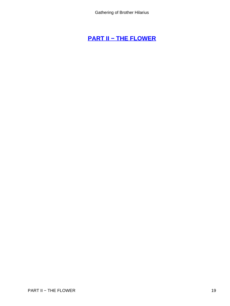# **[PART II − THE FLOWER](#page-78-0)**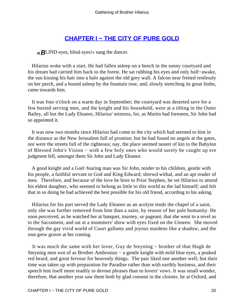## **[CHAPTER I − THE CITY OF PURE GOLD](#page-78-0)**

*«B*LIND eyes, blind eyes!» sang the dancer.

 Hilarius woke with a start. He had fallen asleep on a bench in the sunny courtyard and his dream had carried him back to the forest. He sat rubbing his eyes and only half−awake, the sun kissing his hair into a halo against the old grey wall. A falcon near fretted restlessly on her perch, and a hound asleep by the fountain rose, and, slowly stretching its great limbs, came towards him.

 It was four o'clock on a warm day in September; the courtyard was deserted save for a few busied serving men, and the knight and his household, were at a tilting in the Outer Bailey, all but the Lady Eleanor, Hilarius' mistress, for, as Martin had foreseen, Sir John had so appointed it.

 It was now two months since Hilarius had come to the city which had seemed to him in the distance as the New Jerusalem full of promise; but he had found no angels at the gates, nor were the streets full of the righteous; nay, the place seemed nearer of kin to the Babylon of Blessed John's Vision − with a few holy ones who would surely be caught up ere judgment fell, amongst them Sir John and Lady Eleanor.

 A good knight and a God−fearing man was Sir John, tender to his children, gentle with his people, a faithful servant to God and King Edward; shrewd withal, and an apt reader of men. Therefore, and because of the love he bore to Prior Stephen, he set Hilarius to attend his eldest daughter, who seemed to belong as little to this world as the lad himself; and felt that in so doing he had achieved the best possible for his old friend, according to his asking.

 Hilarius for his part served the Lady Eleanor as an acolyte tends the chapel of a saint, only she was further removed from him than a saint, by reason of her pale humanity. He soon perceived, as he watched her at banquet, tourney, or pageant, that she went to a revel as to the Sacrament, and sat at a mummers' show with eyes fixed on the Unseen. She moved through the gay vivid world of Court gallants and joyous maidens like a shadow, and the rout grew graver at her coming.

 It was much the same with her lover, Guy de Steyning − brother of that Hugh de Steyning men wot of as Brother Ambrosius − a gentle knight with mild blue eyes, a peaked red beard, and great fervour for heavenly things. The pair liked one another well; but their time was taken up with preparation for Paradise rather than with earthly business, and their speech lent itself more readily to devout phrases than to lovers' vows. It was small wonder, therefore, that another year saw them both by glad consent in the cloister, he at Oxford, and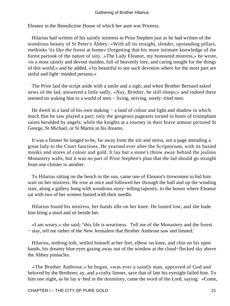Eleanor in the Benedictine House of which her aunt was Prioress.

 Hilarius had written of his saintly mistress to Prior Stephen just as he had written of the wondrous beauty of St Peter's Abbey: «With all its straight, slender, upstanding pillars, methinks 'tis like the forest at home» (forgetting that his more intimate knowledge of the forest partook of the nature of sin). «The Lady Eleanor, my honoured mistress,» he wrote, «is a most saintly and devout maiden, full of heavenly lore, and caring nought for the things of this world;» and he added, «'tis beautiful to see such devotion where for the most part are sinful and light−minded persons.»

 The Prior laid the script aside with a smile and a sigh; and when Brother Bernard asked news of the lad, answered a little sadly, «Nay, Brother, he still sleeps;» and indeed there seemed no waking him to a world of men − living, striving, sorely–tried men.

He dwelt in a land of his own making – a land of colour and light and shadow in which much that he saw played a part; only the gorgeous pageants turned to hosts of triumphant saints heralded by angels; while the knights at a tourney in their brave armour pictured St George, St Michael, or St Martin in his dreams.

 It was a limner he longed to be, far away from the stir and stress, not a page attending a great lady to the Court functions. He yearned ever after the Scriptorium, with its busied monks and stores of colour and gold. It lay but a stone's throw away behind the jealous Monastery walls, but it was no part of Prior Stephen's plan that the lad should go straight from one cloister to another.

 To Hilarius sitting on the bench in the sun, came one of Eleanor's tirewomen to bid him wait on her mistress. He rose at once and followed her through the hall and up the winding stair, along a gallery hung with wondrous story−telling tapestry, to the bower where Eleanor sat with two of her women busied with their needle.

 Hilarius found his mistress, her hands idle on her knee. He louted low, and she bade him bring a stool and sit beside her.

 «I am weary,» she said; "this life is weariness. Tell me of the Monastery and the forest − stay, tell me rather of the New Jerusalem that Brother Ambrose saw and limned.'

 Hilarius, nothing loth, settled himself at her feet, elbow on knee, and chin on his open hands, his dreamy blue eyes gazing away out of the window at the cloud−flecked sky above the Abbey pinnacles.

 «The Brother Ambrose,» he began, «was ever a saintly man, approved of God and beloved by the Brethren; ay, and a crafty limner, save that of late his eyesight failed him. To him one night, as he lay a−bed in the dormitory, came the word of the Lord, saying: »Come,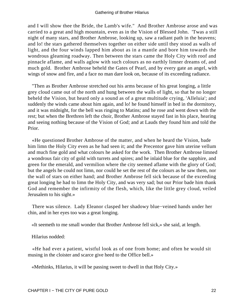and I will show thee the Bride, the Lamb's wife." And Brother Ambrose arose and was carried to a great and high mountain, even as in the Vision of Blessed John. 'Twas a still night of many stars, and Brother Ambrose, looking up, saw a radiant path in the heavens; and lo! the stars gathered themselves together on either side until they stood as walls of light, and the four winds lapped him about as in a mantle and bore him towards the wondrous gleaming roadway. Then between the stars came the Holy City with roof and pinnacle aflame, and walls aglow with such colours as no earthly limner dreams of, and much gold. Brother Ambrose beheld the Gates of Pearl, and by every gate an angel, with wings of snow and fire, and a face no man dare look on, because of its exceeding radiance.

 "Then as Brother Ambrose stretched out his arms because of his great longing, a little grey cloud came out of the north and hung between the walls of light, so that he no longer beheld the Vision, but heard only a sound as of a great multitude crying, 'Alleluia'; and suddenly the winds came about him again, and lo! he found himself in bed in the dormitory, and it was midnight, for the bell was ringing to Matins; and he rose and went down with the rest; but when the Brethren left the choir, Brother Ambrose stayed fast in his place, hearing and seeing nothing because of the Vision of God; and at Lauds they found him and told the Prior.

 «He questioned Brother Ambrose of the matter, and when he heard the Vision, bade him limn the Holy City even as he had seen it; and the Precentor gave him uterine vellum and much fine gold and what colours he asked for the work. Then Brother Ambrose limned a wondrous fair city of gold with turrets and spires; and he inlaid blue for the sapphire, and green for the emerald, and vermilion where the city seemed aflame with the glory of God; but the angels he could not limn, nor could he set the rest of the colours as he saw them, nor the wall of stars on either hand; and Brother Ambrose fell sick because of the exceeding great longing he had to limn the Holy City, and was very sad; but our Prior bade him thank God and remember the infirmity of the flesh, which, like the little grey cloud, veiled Jerusalem to his sight.»

 There was silence. Lady Eleanor clasped her shadowy blue−veined hands under her chin, and in her eyes too was a great longing.

«It seemeth to me small wonder that Brother Ambrose fell sick,» she said, at length.

Hilarius nodded:

 «He had ever a patient, wistful look as of one from home; and often he would sit musing in the cloister and scarce give heed to the Office bell.»

«Methinks, Hilarius, it will be passing sweet to dwell in that Holy City.»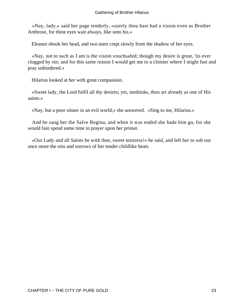«Nay, lady,» said her page tenderly, «surely thou hast had a vision even as Brother Ambrose, for thine eyes wait always, like unto his.»

Eleanor shook her head, and two tears crept slowly from the shadow of her eyes.

 «Nay, not to such as I am is the vision vouchsafed; though my desire is great, 'tis ever clogged by sin; and for this same reason I would get me to a cloister where I might fast and pray unhindered.»

Hilarius looked at her with great compassion.

 «Sweet lady, the Lord fulfil all thy desires; yet, methinks, thou art already as one of His saints.»

«Nay, but a poor sinner in an evil world,» she answered. «Sing to me, Hilarius.»

 And he sang her the Salve Regina, and when it was ended she bade him go, for she would fain spend some time in prayer upon her primer.

 «Our Lady and all Saints be with thee, sweet mistress!» he said, and left her to sob out once more the sins and sorrows of her tender childlike heart.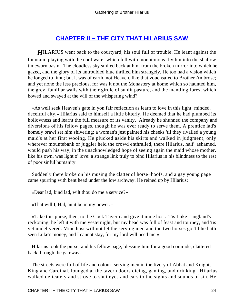## **[CHAPTER II − THE CITY THAT HILARIUS SAW](#page-78-0)**

*H*ILARIUS went back to the courtyard, his soul full of trouble. He leant against the fountain, playing with the cool water which fell with monotonous rhythm into the shallow timeworn basin. The cloudless sky smiled back at him from the broken mirror into which he gazed, and the glory of its untroubled blue thrilled him strangely. He too had a vision which he longed to limn; but it was of earth, not Heaven, like that vouchsafed to Brother Ambrose; and yet none the less precious, for was it not the Monastery at home which so haunted him, the grey, familiar walls with their girdle of sunlit pasture, and the mantling forest which bowed and swayed at the will of the whispering wind?

 «As well seek Heaven's gate in yon fair reflection as learn to love in this light−minded, deceitful city,» Hilarius said to himself a little bitterly. He deemed that he had plumbed its hollowness and learnt the full measure of its vanity. Already he shunned the company and diversions of his fellow pages, though he was ever ready to serve them. A prentice lad's homely brawl set him shivering; a woman's jest painted his cheeks 'til they rivalled a young maid's at her first wooing. He plucked aside his skirts and walked in judgment; only wherever mountebank or juggler held the crowd enthralled, there Hilarius, half−ashamed, would push his way, in the unacknowledged hope of seeing again the maid whose mother, like his own, was light o' love: a strange link truly to bind Hilarius in his blindness to the rest of poor sinful humanity.

 Suddenly there broke on his musing the clatter of horse−hoofs, and a gay young page came spurring with bent head under the low archway. He reined up by Hilarius:

«Dear lad, kind lad, wilt thou do me a service?»

«That will I, Hal, an it be in my power.»

 «Take this purse, then, to the Cock Tavern and give it mine host. 'Tis Luke Langland's reckoning; he left it with me yesternight, but my head was full of feast and tourney, and 'tis yet undelivered. Mine host will not let the serving men and the two horses go 'til he hath seen Luke's money, and I cannot stay, for my lord will need me.»

 Hilarius took the purse; and his fellow page, blessing him for a good comrade, clattered back through the gateway.

 The streets were full of life and colour; serving men in the livery of Abbat and Knight, King and Cardinal, lounged at the tavern doors dicing, gaming, and drinking. Hilarius walked delicately and strove to shut eyes and ears to the sights and sounds of sin. He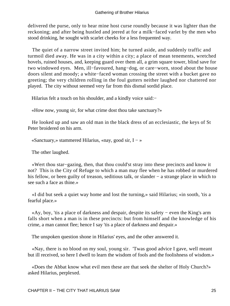delivered the purse, only to hear mine host curse roundly because it was lighter than the reckoning; and after being hustled and jeered at for a milk−faced varlet by the men who stood drinking, he sought with scarlet cheeks for a less frequented way.

 The quiet of a narrow street invited him; he turned aside, and suddenly traffic and turmoil died away. He was in a city within a city; a place of mean tenements, wretched hovels, ruined houses, and, keeping guard over them all, a grim square tower, blind save for two windowed eyes. Men, ill−favoured, hang−dog, or care−worn, stood about the house doors silent and moody; a white−faced woman crossing the street with a bucket gave no greeting; the very children rolling in the foul gutters neither laughed nor chattered nor played. The city without seemed very far from this dismal sordid place.

Hilarius felt a touch on his shoulder, and a kindly voice said:−

«How now, young sir, for what crime dost thou take sanctuary?»

 He looked up and saw an old man in the black dress of an ecclesiastic, the keys of St Peter broidered on his arm.

«Sanctuary,» stammered Hilarius, «nay, good sir, I − »

The other laughed.

 «Wert thou star−gazing, then, that thou could'st stray into these precincts and know it not? This is the City of Refuge to which a man may flee when he has robbed or murdered his fellow, or been guilty of treason, seditious talk, or slander − a strange place in which to see such a face as thine.»

 «I did but seek a quiet way home and lost the turning,» said Hilarius; «in sooth, 'tis a fearful place.»

 «Ay, boy, 'tis a place of darkness and despair, despite its safety − even the King's arm falls short when a man is in these precincts: but from himself and the knowledge of his crime, a man cannot flee; hence I say 'tis a place of darkness and despair.»

The unspoken question shone in Hilarius' eyes, and the other answered it.

 «Nay, there is no blood on my soul, young sir. 'Twas good advice I gave, well meant but ill received, so here I dwell to learn the wisdom of fools and the foolishness of wisdom.»

 «Does the Abbat know what evil men these are that seek the shelter of Holy Church?» asked Hilarius, perplexed.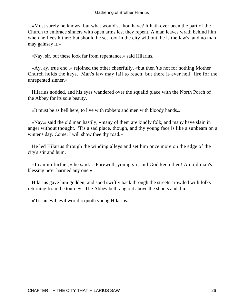«Most surely he knows; but what would'st thou have? It hath ever been the part of the Church to embrace sinners with open arms lest they repent. A man leaves wrath behind him when he flees hither; but should he set foot in the city without, he is the law's, and no man may gainsay it.»

«Nay, sir, but these look far from repentance,» said Hilarius.

 «Ay, ay, true eno',» rejoined the other cheerfully, «but then 'tis not for nothing Mother Church holds the keys. Man's law may fail to reach, but there is ever hell−fire for the unrepented sinner.»

 Hilarius nodded, and his eyes wandered over the squalid place with the North Porch of the Abbey for its sole beauty.

«It must be as hell here, to live with robbers and men with bloody hands.»

 «Nay,» said the old man hastily, «many of them are kindly folk, and many have slain in anger without thought. 'Tis a sad place, though, and thy young face is like a sunbeam on a winter's day. Come, I will show thee thy road.»

 He led Hilarius through the winding alleys and set him once more on the edge of the city's stir and hum.

 «I can no further,» he said. «Farewell, young sir, and God keep thee! An old man's blessing ne'er harmed any one.»

 Hilarius gave him godden, and sped swiftly back through the streets crowded with folks returning from the tourney. The Abbey bell rang out above the shouts and din.

«'Tis an evil, evil world,» quoth young Hilarius.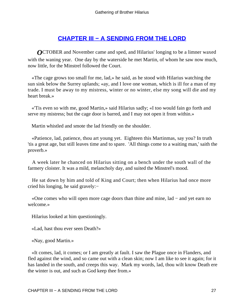## **[CHAPTER III − A SENDING FROM THE LORD](#page-78-0)**

*OCTOBER* and November came and sped, and Hilarius' longing to be a limner waxed with the waning year. One day by the waterside he met Martin, of whom he saw now much, now little, for the Minstrel followed the Court.

 «The cage grows too small for me, lad,» he said, as he stood with Hilarius watching the sun sink below the Surrey uplands; «ay, and I love one woman, which is ill for a man of my trade. I must be away to my mistress, winter or no winter, else my song will die and my heart break.»

 «'Tis even so with me, good Martin,» said Hilarius sadly; «I too would fain go forth and serve my mistress; but the cage door is barred, and I may not open it from within.»

Martin whistled and smote the lad friendly on the shoulder.

 «Patience, lad, patience, thou art young yet. Eighteen this Martinmas, say you? In truth 'tis a great age, but still leaves time and to spare. 'All things come to a waiting man,' saith the proverb.»

 A week later he chanced on Hilarius sitting on a bench under the south wall of the farmery cloister. It was a mild, melancholy day, and suited the Minstrel's mood.

 He sat down by him and told of King and Court; then when Hilarius had once more cried his longing, he said gravely:−

 «One comes who will open more cage doors than thine and mine, lad − and yet earn no welcome.»

Hilarius looked at him questioningly.

«Lad, hast thou ever seen Death?»

«Nay, good Martin.»

 «It comes, lad, it comes; or I am greatly at fault. I saw the Plague once in Flanders, and fled against the wind, and so came out with a clean skin; now I am like to see it again; for it has landed in the south, and creeps this way. Mark my words, lad, thou wilt know Death ere the winter is out, and such as God keep thee from.»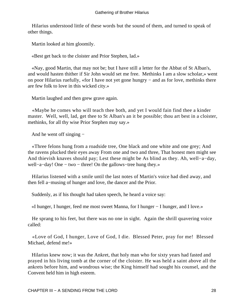Hilarius understood little of these words but the sound of them, and turned to speak of other things.

Martin looked at him gloomily.

«Best get back to the cloister and Prior Stephen, lad.»

 «Nay, good Martin, that may not be; but I have still a letter for the Abbat of St Alban's, and would hasten thither if Sir John would set me free. Methinks I am a slow scholar,» went on poor Hilarius ruefully, «for I have not yet gone hungry − and as for love, methinks there are few folk to love in this wicked city.»

Martin laughed and then grew grave again.

 «Maybe he comes who will teach thee both, and yet I would fain find thee a kinder master. Well, well, lad, get thee to St Alban's an it be possible; thou art best in a cloister, methinks, for all thy wise Prior Stephen may say.»

And he went off singing −

 «Three felons hung from a roadside tree, One black and one white and one grey; And the ravens plucked their eyes away From one and two and three, That honest men might see And thievish knaves should pay; Lest these might be As blind as they. Ah, well−a−day, well−a−day! One − two − three! On the gallows−tree hung they.»

 Hilarius listened with a smile until the last notes of Martin's voice had died away, and then fell a−musing of hunger and love, the dancer and the Prior.

Suddenly, as if his thought had taken speech, he heard a voice say:

«I hunger, I hunger, feed me most sweet Manna, for I hunger − I hunger, and I love.»

 He sprang to his feet, but there was no one in sight. Again the shrill quavering voice called:

 «Love of God, I hunger, Love of God, I die. Blessed Peter, pray for me! Blessed Michael, defend me!»

 Hilarius knew now; it was the Ankret, that holy man who for sixty years had fasted and prayed in his living tomb at the corner of the cloister. He was held a saint above all the ankrets before him, and wondrous wise; the King himself had sought his counsel, and the Convent held him in high esteem.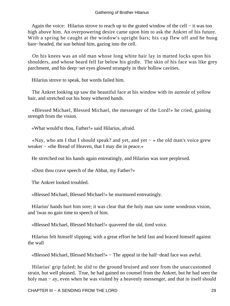Again the voice: Hilarius strove to reach up to the grated window of the cell − it was too high above him. An overpowering desire came upon him to ask the Ankret of his future. With a spring he caught at the window's upright bars; his cap flew off and he hung bare−headed, the sun behind him, gazing into the cell.

 On his knees was an old man whose long white hair lay in matted locks upon his shoulders, and whose beard fell far below his girdle. The skin of his face was like grey parchment, and his deep−set eyes glowed strangely in their hollow cavities.

Hilarius strove to speak, but words failed him.

 The Ankret looking up saw the beautiful face at his window with its aureole of yellow hair, and stretched out his bony withered hands.

 «Blessed Michael, Blessed Michael, the messenger of the Lord!» he cried, gaining strength from the vision.

«What would'st thou, Father!» said Hilarius, afraid.

 «Nay, who am I that I should speak? and yet, and yet − » the old man's voice grew weaker − «the Bread of Heaven, that I may die in peace.»

He stretched out his hands again entreatingly, and Hilarius was sore perplexed.

«Dost thou crave speech of the Abbat, my Father?»

The Ankret looked troubled.

«Blessed Michael, Blessed Michael!» he murmured entreatingly.

 Hilarius' hands hurt him sore; it was clear that the holy man saw some wondrous vision, and 'twas no gain time to speech of him.

«Blessed Michael, Blessed Michael!» quavered the old, tired voice.

 Hilarius felt himself slipping; with a great effort he held fast and braced himself against the wall

«Blessed Michael, Blessed Michael!» − The appeal in the half−dead face was awful.

 Hilarius' grip failed; he slid to the ground bruised and sore from the unaccustomed strain, but well pleased. True, he had gained no counsel from the Ankret, but he had seen the holy man – ay, even when he was visited by a heavenly messenger, and that in itself should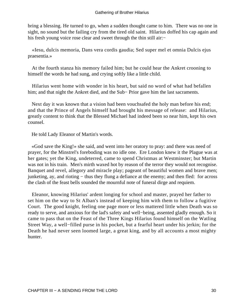bring a blessing. He turned to go, when a sudden thought came to him. There was no one in sight, no sound but the failing cry from the tired old saint. Hilarius doffed his cap again and his fresh young voice rose clear and sweet through the thin still air:−

 «Iesu, dulcis memoria, Dans vera cordis gaudia; Sed super mel et omnia Dulcis ejus praesentia.»

 At the fourth stanza his memory failed him; but he could hear the Ankret crooning to himself the words he had sung, and crying softly like a little child.

 Hilarius went home with wonder in his heart, but said no word of what had befallen him; and that night the Ankret died, and the Sub− Prior gave him the last sacraments.

 Next day it was known that a vision had been vouchsafed the holy man before his end; and that the Prince of Angels himself had brought his message of release: and Hilarius, greatly content to think that the Blessed Michael had indeed been so near him, kept his own counsel.

He told Lady Eleanor of Martin's words.

 «God save the King!» she said, and went into her oratory to pray: and there was need of prayer, for the Minstrel's foreboding was no idle one. Ere London knew it the Plague was at her gates; yet the King, undeterred, came to spend Christmas at Westminster; but Martin was not in his train. Men's mirth waxed hot by reason of the terror they would not recognise. Banquet and revel, allegory and miracle play; pageant of beautiful women and brave men; junketing, ay, and rioting − thus they flung a defiance at the enemy; and then fled: for across the clash of the feast bells sounded the mournful note of funeral dirge and requiem.

 Eleanor, knowing Hilarius' ardent longing for school and master, prayed her father to set him on the way to St Alban's instead of keeping him with them to follow a fugitive Court. The good knight, feeling one page more or less mattered little when Death was so ready to serve, and anxious for the lad's safety and well−being, assented gladly enough. So it came to pass that on the Feast of the Three Kings Hilarius found himself on the Watling Street Way, a well−filled purse in his pocket, but a fearful heart under his jerkin; for the Death he had never seen loomed large, a great king, and by all accounts a most mighty hunter.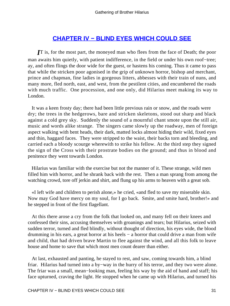## **[CHAPTER IV − BLIND EYES WHICH COULD SEE](#page-78-0)**

*I***T** is, for the most part, the moneyed man who flees from the face of Death; the poor man awaits him quietly, with patient indifference, in the field or under his own roof−tree; ay, and often flings the door wide for the guest, or hastens his coming. Thus it came to pass that while the stricken poor agonised in the grip of unknown horror, bishop and merchant, prince and chapman, fine ladies in gorgeous litters, abbesses with their train of nuns, and many more, fled north, east, and west, from the pestilent cities, and encumbered the roads with much traffic. One procession, and one only, did Hilarius meet making its way to London.

 It was a keen frosty day; there had been little previous rain or snow, and the roads were dry; the trees in the hedgerows, bare and stricken skeletons, stood out sharp and black against a cold grey sky. Suddenly the sound of a mournful chant smote upon the still air, music and words alike strange. The singers came slowly up the roadway, men of foreign aspect walking with bent heads, their dark, matted locks almost hiding their wild, fixed eyes and thin, haggard faces. They were stripped to the waist, their backs torn and bleeding, and carried each a bloody scourge wherewith to strike his fellow. At the third step they signed the sign of the Cross with their prostrate bodies on the ground; and thus in blood and penitence they went towards London.

 Hilarius was familiar with the exercise but not the manner of it. These strange, wild men filled him with horror, and he shrank back with the rest. Then a man sprang from among the watching crowd, tore off jerkin and shirt, and flung up his arms to heaven with a great sob.

 «I left wife and children to perish alone,» he cried, «and fled to save my miserable skin. Now may God have mercy on my soul, for I go back. Smite, and smite hard, brother!» and he stepped in front of the first flagellant.

 At this there arose a cry from the folk that looked on, and many fell on their knees and confessed their sins, accusing themselves with groanings and tears; but Hilarius, seized with sudden terror, turned and fled blindly, without thought of direction, his eyes wide, the blood drumming in his ears, a great horror at his heels  $-$  a horror that could drive a man from wife and child, that had driven brave Martin to flee against the wind, and all this folk to leave house and home to save that which most men count dearer than either.

 At last, exhausted and panting, he stayed to rest, and saw, coming towards him, a blind friar. Hilarius had turned into a by−way in the hurry of his terror, and they two were alone. The friar was a small, mean−looking man, feeling his way by the aid of hand and staff; his face upturned, craving the light. He stopped when he came up with Hilarius, and turned his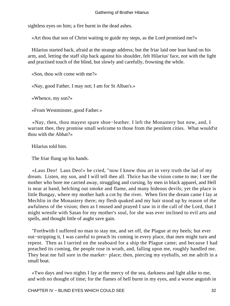sightless eyes on him; a fire burnt in the dead ashes.

«Art thou that son of Christ waiting to guide my steps, as the Lord promised me?»

 Hilarius started back, afraid at the strange address; but the friar laid one lean hand on his arm, and, letting the staff slip back against his shoulder, felt Hilarius' face, not with the light and practised touch of the blind, but slowly and carefully, frowning the while.

«Son, thou wilt come with me?»

«Nay, good Father, I may not; I am for St Alban's.»

«Whence, my son?»

«From Westminster, good Father.»

 «Nay, then, thou mayest spare shoe−leather. I left the Monastery but now, and, I warrant thee, they promise small welcome to those from the pestilent cities. What would'st thou with the Abbat?»

Hilarius told him.

The friar flung up his hands.

 «Laus Deo! Laus Deo!» he cried, "now I know thou art in very truth the lad of my dream. Listen, my son, and I will tell thee all. Thrice has the vision come to me; I see the mother who bore me carried away, struggling and cursing, by men in black apparel, and Hell is near at hand, belching out smoke and flame, and many hideous devils; yet the place is little Bungay, where my mother hath a cot by the river. When first the dream came I lay at Mechlin in the Monastery there; my flesh quaked and my hair stood up by reason of the awfulness of the vision; then as I mused and prayed I saw in it the call of the Lord, that I might wrestle with Satan for my mother's soul, for she was ever inclined to evil arts and spells, and thought little of aught save gain.

 "Forthwith I suffered no man to stay me, and set off, the Plague at my heels; but ever out−stripping it, I was careful to preach its coming in every place, that men might turn and repent. Then as I tarried on the seaboard for a ship the Plague came; and because I had preached its coming, the people rose in wrath, and, falling upon me, roughly handled me. They beat me full sore in the market− place; then, piercing my eyeballs, set me adrift in a small boat.

 «Two days and two nights I lay at the mercy of the sea, darkness and light alike to me, and with no thought of time; for the flames of hell burnt in my eyes, and a worse anguish in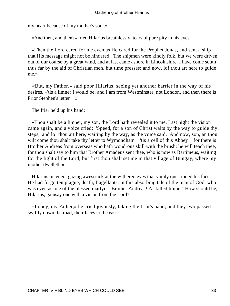my heart because of my mother's soul.»

«And then, and then?» tried Hilarius breathlessly, tears of pure pity in his eyes.

 «Then the Lord cared for me even as He cared for the Prophet Jonas, and sent a ship that His message might not be hindered. The shipmen were kindly folk, but we were driven out of our course by a great wind, and at last came ashore in Lincolnshire. I have come south thus far by the aid of Christian men, but time presses; and now, lo! thou art here to guide me.»

 «But, my Father,» said poor Hilarius, seeing yet another barrier in the way of his desires, «'tis a limner I would be; and I am from Westminster, not London, and then there is Prior Stephen's letter − »

The friar held up his hand:

 «Thou shalt be a limner, my son, the Lord hath revealed it to me. Last night the vision came again, and a voice cried: 'Speed, for a son of Christ waits by the way to guide thy steps,' and lo! thou art here, waiting by the way, as the voice said. And now, son, an thou wilt come thou shalt take thy letter to Wymondham – 'tis a cell of this Abbey – for there is Brother Andreas from overseas who hath wondrous skill with the brush; he will teach thee, for thou shalt say to him that Brother Amadeus sent thee, who is now as Bartimeus, waiting for the light of the Lord; but first thou shalt set me in that village of Bungay, where my mother dwelleth.»

 Hilarius listened, gazing awestruck at the withered eyes that vainly questioned his face. He had forgotten plague, death, flagellants, in this absorbing tale of the man of God, who was even as one of the blessed martyrs. Brother Andreas! A skilled limner! How should he, Hilarius, gainsay one with a vision from the Lord?"

 «I obey, my Father,» he cried joyously, taking the friar's hand; and they two passed swiftly down the road, their faces to the east.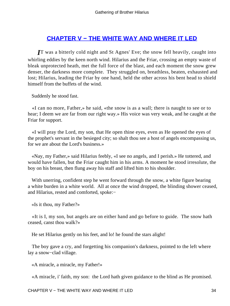## **[CHAPTER V − THE WHITE WAY AND WHERE IT LED](#page-78-0)**

*I*T was a bitterly cold night and St Agnes' Eve; the snow fell heavily, caught into whirling eddies by the keen north wind. Hilarius and the Friar, crossing an empty waste of bleak unprotected heath, met the full force of the blast, and each moment the snow grew denser, the darkness more complete. They struggled on, breathless, beaten, exhausted and lost; Hilarius, leading the Friar by one hand, held the other across his bent head to shield himself from the buffets of the wind.

Suddenly he stood fast.

 «I can no more, Father,» he said, «the snow is as a wall; there is naught to see or to hear; I deem we are far from our right way.» His voice was very weak, and he caught at the Friar for support.

 «I will pray the Lord, my son, that He open thine eyes, even as He opened the eyes of the prophet's servant in the besieged city; so shalt thou see a host of angels encompassing us, for we are about the Lord's business.»

 «Nay, my Father,» said Hilarius feebly, «I see no angels, and I perish.» He tottered, and would have fallen, but the Friar caught him in his arms. A moment he stood irresolute, the boy on his breast, then flung away his staff and lifted him to his shoulder.

With unerring, confident step he went forward through the snow, a white figure bearing a white burden in a white world. All at once the wind dropped, the blinding shower ceased, and Hilarius, rested and comforted, spoke:−

«Is it thou, my Father?»

 «It is I, my son, but angels are on either hand and go before to guide. The snow hath ceased, canst thou walk?»

He set Hilarius gently on his feet, and lo! he found the stars alight!

 The boy gave a cry, and forgetting his companion's darkness, pointed to the left where lay a snow−clad village.

«A miracle, a miracle, my Father!»

«A miracle, i' faith, my son: the Lord hath given guidance to the blind as He promised.

CHAPTER V – THE WHITE WAY AND WHERE IT LED 34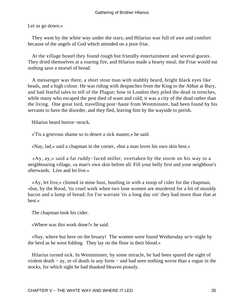Let us go down.»

 They went by the white way under the stars; and Hilarius was full of awe and comfort because of the angels of God which attended on a poor friar.

 At the village hostel they found rough but friendly entertainment and several guests. They dried themselves at a roaring fire, and Hilarius made a hearty meal; the Friar would eat nothing save a morsel of bread.

 A messenger was there, a short stout man with stubbly beard, bright black eyes like beads, and a high colour. He was riding with despatches from the King to the Abbat at Bury, and had fearful tales to tell of the Plague; how in London they piled the dead in trenches, while many who escaped the pest died of want and cold; it was a city of the dead rather than the living. One great lord, travelling post−haste from Westminster, had been found by his servants to have the disorder, and they fled, leaving him by the wayside to perish.

Hilarius heard horror−struck.

«'Tis a grievous shame so to desert a sick master,» he said.

«Nay, lad,» said a chapman in the corner, «but a man loves his own skin best.»

 «Ay, ay,» said a fat ruddy−faced miller, overtaken by the storm on his way to a neighbouring village, «a man's own skin before all. Fill your belly first and your neighbour's afterwards. Live and let live.»

 «Ay, let live,» chimed in mine host, bustling in with a stoop of cider for the chapman, «but, by the Rood, 'tis cruel work when two lone women are murdered for a bit of mouldy bacon and a lump of bread; for I'se warrant 'tis a long day sin' they had more than that at best.»

The chapman took his cider.

«Where was this work done?» he said.

 «Nay, where but here on the bruary! The women were found Wednesday se'n−night by the herd as he went folding. They lay on the floor in their blood.»

 Hilarius turned sick. In Westminster, by some miracle, he had been spared the sight of violent death − ay, or of death in any form − and had seen nothing worse than a rogue in the stocks, for which sight he had thanked Heaven piously.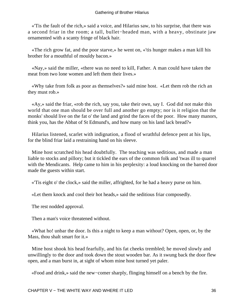«'Tis the fault of the rich,» said a voice, and Hilarius saw, to his surprise, that there was a second friar in the room; a tall, bullet−headed man, with a heavy, obstinate jaw ornamented with a scanty fringe of black hair.

 «The rich grow fat, and the poor starve,» he went on, «'tis hunger makes a man kill his brother for a mouthful of mouldy bacon.»

 «Nay,» said the miller, «there was no need to kill, Father. A man could have taken the meat from two lone women and left them their lives.»

 «Why take from folk as poor as themselves?» said mine host. «Let them rob the rich an they must rob.»

 «Ay,» said the friar, «rob the rich, say you, take their own, say I. God did not make this world that one man should be over full and another go empty; nor is it religion that the monks' should live on the fat o' the land and grind the faces of the poor. How many manors, think you, has the Abbat of St Edmund's, and how many on his land lack bread?»

 Hilarius listened, scarlet with indignation, a flood of wrathful defence pent at his lips, for the blind friar laid a restraining hand on his sleeve.

 Mine host scratched his head doubtfully. The teaching was seditious, and made a man liable to stocks and pillory; but it tickled the ears of the common folk and 'twas ill to quarrel with the Mendicants. Help came to him in his perplexity: a loud knocking on the barred door made the guests within start.

«'Tis eight o' the clock,» said the miller, affrighted, for he had a heavy purse on him.

«Let them knock and cool their hot heads,» said the seditious friar composedly.

The rest nodded approval.

Then a man's voice threatened without.

 «What ho! unbar the door. Is this a night to keep a man without? Open, open, or, by the Mass, thou shalt smart for it.»

 Mine host shook his head fearfully, and his fat cheeks trembled; he moved slowly and unwillingly to the door and took down the stout wooden bar. As it swung back the door flew open, and a man burst in, at sight of whom mine host turned yet paler.

«Food and drink,» said the new−comer sharply, flinging himself on a bench by the fire.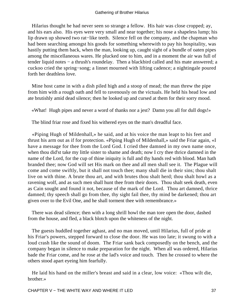Hilarius thought he had never seen so strange a fellow. His hair was close cropped; ay, and his ears also. His eyes were very small and near together; his nose a shapeless lump; his lip drawn up showed two rat−like teeth. Silence fell on the company, and the chapman who had been searching amongst his goods for something wherewith to pay his hospitality, was hastily putting them back, when the man, looking up, caught sight of a bundle of oaten pipes among the miscellaneous wares. He plucked one to him, and in a moment the air was full of tender liquid notes − a thrush's roundelay. Then a blackbird called and his mate answered; a cuckoo cried the spring−song; a linnet mourned with lifting cadence; a nightingale poured forth her deathless love.

 Mine host came in with a dish piled high and a stoop of mead; the man threw the pipe from him with a rough oath and fell to ravenously on the victuals. He held his head low and ate brutishly amid dead silence; then he looked up and cursed at them for their sorry mood.

«What! Hugh pipes and never a word of thanks nor a jest? Damn you all for dull dogs!»

The blind friar rose and fixed his withered eyes on the man's dreadful face.

 «Piping Hugh of Mildenhall,» he said, and at his voice the man leapt to his feet and thrust his arm out as if for protection. «Piping Hugh of Mildenhall,» said the Friar again, «I have a message for thee from the Lord God. I cried thee damned in my own name once, when thou did'st take my little sister to shame and death; now I cry thee thrice damned in the name of the Lord, for the cup of thine iniquity is full and thy hands red with blood. Man hath branded thee; now God will set His mark on thee and all men shall see it. The Plague will come and come swiftly, but it shall not touch thee; many shall die in their sins; thou shalt live on with thine. A brute thou art, and with brutes thou shalt herd; thou shalt howl as a ravening wolf, and as such men shall hunt thee from their doors. Thou shalt seek death, even as Cain sought and found it not, because of the mark of the Lord. Thou art damned, thrice damned; thy speech shall go from thee, thy sight fail thee, thy mind be darkened; thou art given over to the Evil One, and he shall torment thee with remembrance.»

 There was dead silence; then with a long shrill howl the man tore open the door, dashed from the house, and fled, a black blotch upon the whiteness of the night.

 The guests huddled together aghast, and no man moved, until Hilarius, full of pride at his Friar's powers, stepped forward to close the door. He was too late; it swung to with a loud crash like the sound of doom. The Friar sank back composedly on the bench, and the company began in silence to make preparation for the night. When all was ordered, Hilarius bade the Friar come, and he rose at the lad's voice and touch. Then he crossed to where the others stood apart eyeing him fearfully.

 He laid his hand on the miller's breast and said in a clear, low voice: «Thou wilt die, brother.»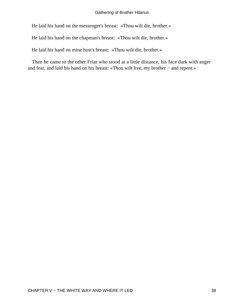He laid his hand on the messenger's breast: «Thou wilt die, brother.»

He laid his hand on the chapman's breast: «Thou wilt die, brother.»

He laid his hand on mine host's breast: «Thou wilt die, brother.»

 Then he came to the other Friar who stood at a little distance, his face dark with anger and fear, and laid his hand on his breast: «Thou wilt live, my brother − and repent.»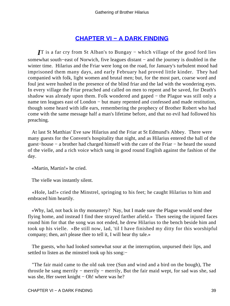# **[CHAPTER VI − A DARK FINDING](#page-78-0)**

*I*T is a far cry from St Alban's to Bungay – which village of the good ford lies somewhat south–east of Norwich, five leagues distant – and the journey is doubled in the winter time. Hilarius and the Friar were long on the road, for January's turbulent mood had imprisoned them many days, and early February had proved little kinder. They had companied with folk, light women and brutal men; but, for the most part, coarse word and foul jest were hushed in the presence of the blind friar and the lad with the wondering eyes. In every village the Friar preached and called on men to repent and be saved, for Death's shadow was already upon them. Folk wondered and gaped − the Plague was still only a name ten leagues east of London – but many repented and confessed and made restitution, though some heard with idle ears, remembering the prophecy of Brother Robert who had come with the same message half a man's lifetime before, and that no evil had followed his preaching.

 At last St Matthias' Eve saw Hilarius and the Friar at St Edmund's Abbey. There were many guests for the Convent's hospitality that night, and as Hilarius entered the hall of the guest−house − a brother had charged himself with the care of the Friar − he heard the sound of the vielle, and a rich voice which sang in good round English against the fashion of the day.

«Martin, Martin!» he cried.

The vielle was instantly silent.

 «Hole, lad!» cried the Minstrel, springing to his feet; he caught Hilarius to him and embraced him heartily.

 «Why, lad, not back in thy monastery? Nay, but I made sure the Plague would send thee flying home, and instead I find thee strayed farther afield.» Then seeing the injured faces round him for that the song was not ended, he drew Hilarius to the bench beside him and took up his vielle. «Be still now, lad, 'til I have finished my ditty for this worshipful company; then, an't please thee to tell it, I will hear thy tale.»

 The guests, who had looked somewhat sour at the interruption, unpursed their lips, and settled to listen as the minstrel took up his song:−

 "The fair maid came to the old oak tree (Sun and wind and a bird on the bough), The throstle he sang merrily − merrily − merrily, But the fair maid wept, for sad was she, sad was she, Her sweet knight − Oh! where was he?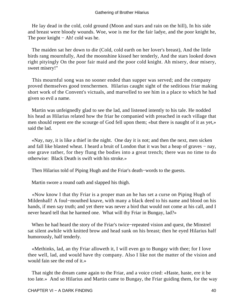He lay dead in the cold, cold ground (Moon and stars and rain on the hill), In his side and breast were bloody wounds. Woe, woe is me for the fair ladye, and the poor knight he, The poor knight − Ah! cold was he.

 The maiden sat her down to die (Cold, cold earth on her lover's breast), And the little birds rang mournfully, And the moonshine kissed her tenderly, And the stars looked down right pityingly On the poor fair maid and the poor cold knight. Ah misery, dear misery, sweet misery!"

 This mournful song was no sooner ended than supper was served; and the company proved themselves good trenchermen. Hilarius caught sight of the seditious friar making short work of the Convent's victuals, and marvelled to see him in a place to which he had given so evil a name.

 Martin was unfeignedly glad to see the lad, and listened intently to his tale. He nodded his head as Hilarius related how the friar he companied with preached in each village that men should repent ere the scourge of God fell upon them; «but there is naught of it as yet,» said the lad.

 «Nay, nay, it is like a thief in the night. One day it is not; and then the next, men sicken and fall like blasted wheat. I heard a bruit of London that it was but a heap of graves − nay, one grave rather, for they flung the bodies into a great trench; there was no time to do otherwise: Black Death is swift with his stroke.»

Then Hilarius told of Piping Hugh and the Friar's death−words to the guests.

Martin swore a round oath and slapped his thigh.

 «Now know I that thy Friar is a proper man an he has set a curse on Piping Hugh of Mildenhall! A foul−mouthed knave, with many a black deed to his name and blood on his hands, if men say truth; and yet there was never a bird that would not come at his call, and I never heard tell that he harmed one. What will thy Friar in Bungay, lad?»

 When he had heard the story of the Friar's twice−repeated vision and quest, the Minstrel sat silent awhile with knitted brow and head sunk on his breast; then he eyed Hilarius half humorously, half tenderly.

 «Methinks, lad, an thy Friar alloweth it, I will even go to Bungay with thee; for I love thee well, lad, and would have thy company. Also I like not the matter of the vision and would fain see the end of it.»

 That night the dream came again to the Friar, and a voice cried: «Haste, haste, ere it be too late.» And so Hilarius and Martin came to Bungay, the Friar guiding them, for the way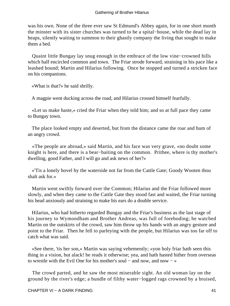was his own. None of the three ever saw St Edmund's Abbey again, for in one short month the minster with its sister churches was turned to be a spital−house, while the dead lay in heaps, silently waiting to summon to their ghastly company the living that sought to make them a bed.

 Quaint little Bungay lay snug enough in the embrace of the low vine−crowned hills which half encircled common and town. The Friar strode forward, straining in his pace like a leashed hound; Martin and Hilarius following. Once he stopped and turned a stricken face on his companions.

«What is that?» he said shrilly.

A magpie went ducking across the road, and Hilarius crossed himself fearfully.

 «Let us make haste,» cried the Friar when they told him; and so at full pace they came to Bungay town.

 The place looked empty and deserted, but from the distance came the roar and hum of an angry crowd.

 «The people are abroad,» said Martin, and his face was very grave, «no doubt some knight is here, and there is a bear−baiting on the common. Prithee, where is thy mother's dwelling, good Father, and I will go and ask news of her?»

 «'Tis a lonely hovel by the waterside not far from the Cattle Gate; Goody Wooten thou shalt ask for.»

 Martin went swiftly forward over the Common; Hilarius and the Friar followed more slowly, and when they came to the Cattle Gate they stood fast and waited, the Friar turning his head anxiously and straining to make his ears do a double service.

 Hilarius, who had hitherto regarded Bungay and the Friar's business as the last stage of his journey to Wymondham and Brother Andreas, was full of foreboding; he watched Martin on the outskirts of the crowd, saw him throw up his hands with an angry gesture and point to the Friar. Then he fell to parleying with the people, but Hilarius was too far off to catch what was said.

 «See there, 'tis her son,» Martin was saying vehemently; «yon holy friar hath seen this thing in a vision, but alack! he reads it otherwise; yea, and hath hasted hither from overseas to wrestle with the Evil One for his mother's soul − and now, and now − »

 The crowd parted, and he saw the most miserable sight. An old woman lay on the ground by the river's edge; a bundle of filthy water−logged rags crowned by a bruised,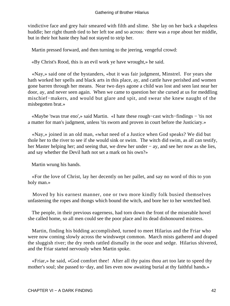vindictive face and grey hair smeared with filth and slime. She lay on her back a shapeless huddle; her right thumb tied to her left toe and so across: there was a rope about her middle, but in their hot haste they had not stayed to strip her.

Martin pressed forward, and then turning to the jeering, vengeful crowd:

«By Christ's Rood, this is an evil work ye have wrought,» he said.

 «Nay,» said one of the bystanders, «but it was fair judgment, Minstrel. For years she hath worked her spells and black arts in this place, ay, and cattle have perished and women gone barren through her means. Near two days agone a child was lost and seen last near her door, ay, and never seen again. When we came to question her she cursed at us for meddling mischief−makers, and would but glare and spit, and swear she knew naught of the misbegotten brat.»

 «Maybe 'twas true eno',» said Martin. «I hate these rough−cast witch−findings − 'tis not a matter for man's judgment, unless 'tis sworn and proven in court before the Justiciary.»

 «Nay,» joined in an old man, «what need of a Justice when God speaks? We did but thole her to the river to see if she would sink or swim. The witch did swim, as all can testify, her Master helping her; and seeing that, we drew her under − ay, and see her now as she lies, and say whether the Devil hath not set a mark on his own?»

Martin wrung his hands.

 «For the love of Christ, lay her decently on her pallet, and say no word of this to yon holy man.»

 Moved by his earnest manner, one or two more kindly folk busied themselves unfastening the ropes and thongs which bound the witch, and bore her to her wretched bed.

 The people, in their previous eagerness, had torn down the front of the miserable hovel she called home, so all men could see the poor place and its dead dishonoured mistress.

 Martin, finding his bidding accomplished, turned to meet Hilarius and the Friar who were now coming slowly across the windswept common. March mists gathered and draped the sluggish river; the dry reeds rattled dismally in the ooze and sedge. Hilarius shivered, and the Friar started nervously when Martin spoke.

 «Friar,» he said, «God comfort thee! After all thy pains thou art too late to speed thy mother's soul; she passed to−day, and lies even now awaiting burial at thy faithful hands.»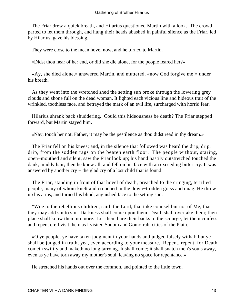The Friar drew a quick breath, and Hilarius questioned Martin with a look. The crowd parted to let them through, and hung their heads abashed in painful silence as the Friar, led by Hilarius, gave his blessing.

They were close to the mean hovel now, and he turned to Martin.

«Didst thou hear of her end, or did she die alone, for the people feared her?»

 «Ay, she died alone,» answered Martin, and muttered, «now God forgive me!» under his breath.

 As they went into the wretched shed the setting sun broke through the lowering grey clouds and shone full on the dead woman. It lighted each vicious line and hideous trait of the wrinkled, toothless face, and betrayed the mark of an evil life, surcharged with horrid fear.

 Hilarius shrank back shuddering. Could this hideousness be death? The Friar stepped forward, but Martin stayed him.

«Nay, touch her not, Father, it may be the pestilence as thou didst read in thy dream.»

 The Friar fell on his knees; and, in the silence that followed was heard the drip, drip, drip, from the sodden rags on the beaten earth floor. The people without, staring, open−mouthed and silent, saw the Friar look up; his hand hastily outstretched touched the dank, muddy hair; then he knew all, and fell on his face with an exceeding bitter cry. It was answered by another cry − the glad cry of a lost child that is found.

 The Friar, standing in front of that hovel of death, preached to the cringing, terrified people, many of whom knelt and crouched in the down−trodden grass and quag. He threw up his arms, and turned his blind, anguished face to the setting sun.

 "Woe to the rebellious children, saith the Lord, that take counsel but not of Me, that they may add sin to sin. Darkness shall come upon them; Death shall overtake them; their place shall know them no more. Let them bare their backs to the scourge, let them confess and repent ere I visit them as I visited Sodom and Gomorrah, cities of the Plain.

 «O ye people, ye have taken judgment in your hands and judged falsely withal; but ye shall be judged in truth, yea, even according to your measure. Repent, repent, for Death cometh swiftly and maketh no long tarrying. It shall come; it shall snatch men's souls away, even as ye have torn away my mother's soul, leaving no space for repentance.»

He stretched his hands out over the common, and pointed to the little town.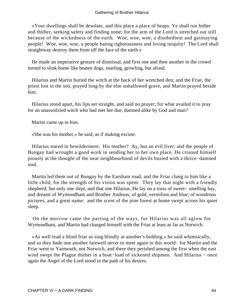«Your dwellings shall be desolate, and this place a place of heaps. Ye shall run hither and thither, seeking safety and finding none; for the arm of the Lord is stretched out still because of the wickedness of the earth. Woe, woe, woe, a disobedient and gainsaying people! Woe, woe, woe, a people hating righteousness and loving iniquity! The Lord shall straightway destroy them from off the face of the earth.»

 He made an imperative gesture of dismissal, and first one and then another in the crowd turned to slink home like beaten dogs, snarling, growling, but afraid.

 Hilarius and Martin buried the witch at the back of her wretched den; and the Friar, the priest lost in the son, prayed long by the else unhallowed grave, and Martin prayed beside him.

 Hilarius stood apart, his lips set straight, and said no prayer; for what availed it to pray for an unassoilzied witch who had met her due, damned alike by God and man?

Martin came up to him.

«She was his mother,» he said, as if making excuse.

 Hilarius stared in bewilderment. His mother? Ay, but an evil liver; and the people of Bungay had wrought a good work in sending her to her own place. He crossed himself piously at the thought of the near neighbourhood of devils busied with a thrice−damned soul.

 Martin led them out of Bungay by the Earsham road, and the Friar clung to him like a little child, for the strength of his vision was spent. They lay that night with a friendly shepherd; but only one slept, and that one Hilarius. He lay on a truss of sweet− smelling hay, and dreamt of Wymondham and Brother Andreas; of gold, vermilion and blue; of wondrous pictures, and a great name: and the scent of the pine forest at home swept across his quiet sleep.

 On the morrow came the parting of the ways, for Hilarius was all aglow for Wymondham, and Martin had charged himself with the Friar at least as far as Norwich.

 «As well lead a blind friar as sing blindly at another's bidding,» he said whimsically, and so they bade one another farewell never to meet again in this world: for Martin and the Friar went to Yarmouth, not Norwich, and there they perished among the first when the east wind swept the Plague thither in a boat–load of sickened shipmen. And Hilarius – once again the Angel of the Lord stood in the path of his desires.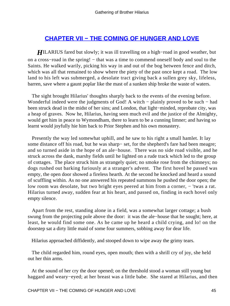## **[CHAPTER VII − THE COMING OF HUNGER AND LOVE](#page-78-0)**

*HILARIUS* fared but slowly; it was ill travelling on a high–road in good weather, but on a cross–road in the spring! – that was a time to commend oneself body and soul to the Saints. He walked warily, picking his way in and out of the bog between fence and ditch, which was all that remained to show where the piety of the past once kept a road. The low land to his left was submerged, a desolate tract giving back a sullen grey sky, lifeless, barren, save where a gaunt poplar like the mast of a sunken ship broke the waste of waters.

 The sight brought Hilarius' thoughts sharply back to the events of the evening before. Wonderful indeed were the judgments of God! A witch − plainly proved to be such − had been struck dead in the midst of her sins; and London, that light−minded, reprobate city, was a heap of graves. Now he, Hilarius, having seen much evil and the justice of the Almighty, would get him in peace to Wymondham, there to learn to be a cunning limner; and having so learnt would joyfully hie him back to Prior Stephen and his own monastery.

 Presently the way led somewhat uphill, and he saw to his right a small hamlet. It lay some distance off his road, but he was sharp− set, for the shepherd's fare had been meagre; and so turned aside in the hope of an ale−house. There was no side road visible, and he struck across the dank, marshy fields until he lighted on a rude track which led to the group of cottages. The place struck him as strangely quiet; no smoke rose from the chimneys; no dogs rushed out barking furiously at a stranger's advent. The first hovel he passed was empty, the open door showed a fireless hearth. At the second he knocked and heard a sound of scuffling within. As no one answered his repeated summons he pushed the door open; the low room was desolate, but two bright eyes peered at him from a corner, − 'twas a rat. Hilarius turned away, sudden fear at his heart, and passed on, finding in each hovel only empty silence.

 Apart from the rest, standing alone in a field, was a somewhat larger cottage; a bush swung from the projecting pole above the door: it was the ale−house that he sought; here, at least, he would find some one. As he came up he heard a child crying, and lo! on the doorstep sat a dirty little maid of some four summers, sobbing away for dear life.

Hilarius approached diffidently, and stooped down to wipe away the grimy tears.

 The child regarded him, round eyes, open mouth; then with a shrill cry of joy, she held out her thin arms.

 At the sound of her cry the door opened; on the threshold stood a woman still young but haggard and weary−eyed; at her breast was a little babe. She stared at Hilarius, and then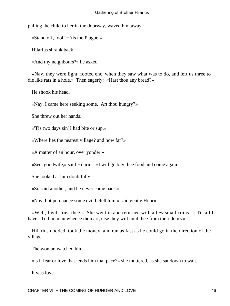pulling the child to her in the doorway, waved him away.

«Stand off, fool! − 'tis the Plague.»

Hilarius shrank back.

«And thy neighbours?» he asked.

 «Nay, they were light−footed eno' when they saw what was to do, and left us three to die like rats in a hole.» Then eagerly: «Hast thou any bread?»

He shook his head.

«Nay, I came here seeking some. Art thou hungry?»

She threw out her hands.

«'Tis two days sin' I had bite or sup.»

«Where lies the nearest village? and how far?»

«A matter of an hour, over yonder.»

«See, goodwife,» said Hilarius, «I will go buy thee food and come again.»

She looked at him doubtfully.

«So said another, and he never came back.»

«Nay, but perchance some evil befell him,» said gentle Hilarius.

 «Well, I will trust thee.» She went in and returned with a few small coins. «'Tis all I have. Tell no man whence thou art, else they will hunt thee from their doors.»

 Hilarius nodded, took the money, and ran as fast as he could go in the direction of the village.

The woman watched him.

«Is it fear or love that lends him that pace?» she muttered, as she sat down to wait.

It was love.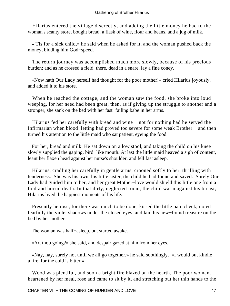Hilarius entered the village discreetly, and adding the little money he had to the woman's scanty store, bought bread, a flask of wine, flour and beans, and a jug of milk.

 «'Tis for a sick child,» he said when he asked for it, and the woman pushed back the money, bidding him God−speed.

 The return journey was accomplished much more slowly, because of his precious burden; and as he crossed a field, there, dead in a snare, lay a fine coney.

 «Now hath Our Lady herself had thought for the poor mother!» cried Hilarius joyously, and added it to his store.

 When he reached the cottage, and the woman saw the food, she broke into loud weeping, for her need had been great; then, as if giving up the struggle to another and a stronger, she sank on the bed with her fast−failing babe in her arms.

 Hilarius fed her carefully with bread and wine − not for nothing had he served the Infirmarian when blood−letting had proved too severe for some weak Brother − and then turned his attention to the little maid who sat patient, eyeing the food.

 For her, bread and milk. He sat down on a low stool, and taking the child on his knee slowly supplied the gaping, bird−like mouth. At last the little maid heaved a sigh of content, leant her flaxen head against her nurse's shoulder, and fell fast asleep.

 Hilarius, cradling her carefully in gentle arms, crooned softly to her, thrilling with tenderness. She was his own, his little sister, the child he had found and saved. Surely Our Lady had guided him to her, and her great Mother−love would shield this little one from a foul and horrid death. In that dirty, neglected room, the child warm against his breast, Hilarius lived the happiest moments of his life.

 Presently he rose, for there was much to be done, kissed the little pale cheek, noted fearfully the violet shadows under the closed eyes, and laid his new−found treasure on the bed by her mother.

The woman was half−asleep, but started awake.

«Art thou going?» she said, and despair gazed at him from her eyes.

 «Nay, nay, surely not until we all go together,» he said soothingly. «I would but kindle a fire, for the cold is bitter.»

 Wood was plentiful, and soon a bright fire blazed on the hearth. The poor woman, heartened by her meal, rose and came to sit by it, and stretching out her thin hands to the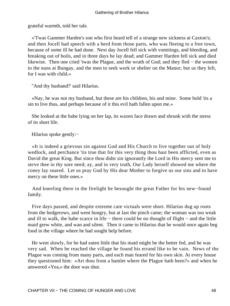grateful warmth, told her tale.

 «'Twas Gammer Harden's son who first heard tell of a strange new sickness at Caxton's; and then Jocell had speech with a herd from those parts, who was fleeing to a free town, because of some ill he had done. Next day Jocell fell sick with vomitings, and bleeding, and breaking out of boils, and in three days he lay dead; and Gammer Harden fell sick and died likewise. Then one cried 'twas the Plague, and the wrath of God; and they fled − the women to the nuns at Bungay, and the men to seek work or shelter on the Manor; but us they left, for I was with child.»

"And thy husband?' said Hilarius.

 «Nay, he was not my husband, but these are his children, his and mine. Some hold 'tis a sin to live thus, and perhaps because of it this evil hath fallen upon me.»

 She looked at the babe lying on her lap, its waxen face drawn and shrunk with the stress of its short life.

Hilarius spoke gently:−

 «It is indeed a grievous sin against God and His Church to live together out of holy wedlock, and perchance 'tis true that for this very thing thou hast been afflicted, even as David the great King. But since thou didst sin ignorantly the Lord in His mercy sent me to serve thee in thy sore need; ay, and in very truth, Our Lady herself showed me where the coney lay snared. Let us pray God by His dear Mother to forgive us our sins and to have mercy on these little ones.»

 And kneeling there in the firelight he besought the great Father for his new−found family.

 Five days passed, and despite extreme care victuals were short. Hilarius dug up roots from the hedgerows, and went hungry, but at last the pinch came; the woman was too weak and ill to walk, the babe scarce in life − there could be no thought of flight − and the little maid grew white, and wan and silent. Then it came to Hilarius that he would once again beg food in the village where he had sought help before.

 He went slowly, for he had eaten little that his maid might be the better fed, and he was very sad. When he reached the village he found his errand like to be vain. News of the Plague was coming from many parts, and each man feared for his own skin. At every house they questioned him: «Art thou from a hamlet where the Plague hath been?» and when he answered «Yea,» the door was shut.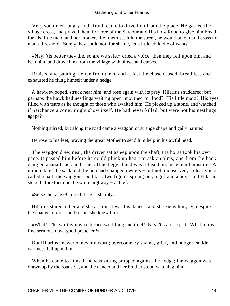Very soon men, angry and afraid, came to drive him from the place. He gained the village cross, and prayed them for love of the Saviour and His holy Rood to give him bread for his little maid and her mother. Let them set it in the street, he would take it and cross no man's threshold. Surely they could not; for shame, let a little child die of want?

 «Nay, 'tis better they die, so are we safe,» cried a voice; then they fell upon him and beat him, and drove him from the village with blows and curses.

 Bruised and panting, he ran from them, and at last the chase ceased; breathless and exhausted he flung himself under a hedge.

 A hawk swooped, struck near him, and rose again with its prey. Hilarius shuddered; but perhaps the hawk had nestlings waiting open−mouthed for food? His little maid! His eyes filled with tears as he thought of those who awaited him. He picked up a stone, and watched if perchance a coney might show itself. He had never killed, but were not his nestlings agape?

Nothing stirred, but along the road came a waggon of strange shape and gaily painted.

He rose to his feet, praying the great Mother to send him help in his awful need.

 The waggon drew near; the driver sat asleep upon the shaft, the horse took his own pace. It passed him before he could pluck up heart to ask an alms, and from the back dangled a small sack and a hen. If he begged and was refused his little maid must die. A minute later the sack and the hen had changed owners − but not unobserved; a clear voice called a halt; the waggon stood fast; two figures sprang out, a girl and a boy: and Hilarius stood before them on the white highway – a thief.

«Seize the knave!» cried the girl sharply.

 Hilarius stared at her and she at him. It was his dancer, and she knew him, ay, despite the change of dress and scene, she knew him.

 «What! The worthy novice turned worldling and thief! Nay, 'tis a rare jest. What of thy fine sermons now, good preacher?»

 But Hilarius answered never a word; overcome by shame, grief, and hunger, sudden darkness fell upon him.

 When he came to himself he was sitting propped against the hedge; the waggon was drawn up by the roadside, and the dancer and her brother stood watching him.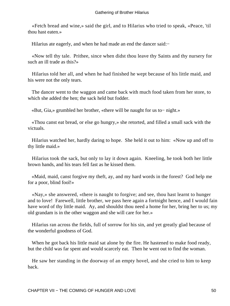«Fetch bread and wine,» said the girl, and to Hilarius who tried to speak, «Peace, 'til thou hast eaten.»

Hilarius ate eagerly, and when he had made an end the dancer said:−

 «Now tell thy tale. Prithee, since when didst thou leave thy Saints and thy nursery for such an ill trade as this?»

 Hilarius told her all, and when he had finished he wept because of his little maid, and his were not the only tears.

 The dancer went to the waggon and came back with much food taken from her store, to which she added the hen; the sack held but fodder.

«But, Gia,» grumbled her brother, «there will be naught for us to− night.»

 «Thou canst eat bread, or else go hungry,» she retorted, and filled a small sack with the victuals.

 Hilarius watched her, hardly daring to hope. She held it out to him: «Now up and off to thy little maid.»

 Hilarius took the sack, but only to lay it down again. Kneeling, he took both her little brown hands, and his tears fell fast as he kissed them.

 «Maid, maid, canst forgive my theft, ay, and my hard words in the forest? God help me for a poor, blind fool!»

 «Nay,» she answered, «there is naught to forgive; and see, thou hast learnt to hunger and to love! Farewell, little brother, we pass here again a fortnight hence, and I would fain have word of thy little maid. Ay, and shouldst thou need a home for her, bring her to us; my old grandam is in the other waggon and she will care for her.»

 Hilarius ran across the fields, full of sorrow for his sin, and yet greatly glad because of the wonderful goodness of God.

When he got back his little maid sat alone by the fire. He hastened to make food ready, but the child was far spent and would scarcely eat. Then he went out to find the woman.

 He saw her standing in the doorway of an empty hovel, and she cried to him to keep back.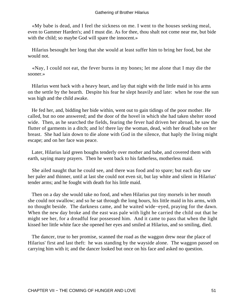«My babe is dead, and I feel the sickness on me. I went to the houses seeking meal, even to Gammer Harden's; and I must die. As for thee, thou shalt not come near me, but bide with the child; so maybe God will spare the innocent.»

 Hilarius besought her long that she would at least suffer him to bring her food, but she would not.

 «Nay, I could not eat, the fever burns in my bones; let me alone that I may die the sooner.»

 Hilarius went back with a heavy heart, and lay that night with the little maid in his arms on the settle by the hearth. Despite his fear he slept heavily and late: when he rose the sun was high and the child awake.

 He fed her, and, bidding her bide within, went out to gain tidings of the poor mother. He called, but no one answered; and the door of the hovel in which she had taken shelter stood wide. Then, as he searched the fields, fearing the fever had driven her abroad, he saw the flutter of garments in a ditch; and lo! there lay the woman, dead, with her dead babe on her breast. She had lain down to die alone with God in the silence, that haply the living might escape; and on her face was peace.

 Later, Hilarius laid green boughs tenderly over mother and babe, and covered them with earth, saying many prayers. Then he went back to his fatherless, motherless maid.

 She ailed naught that he could see, and there was food and to spare; but each day saw her paler and thinner, until at last she could not even sit, but lay white and silent in Hilarius' tender arms; and he fought with death for his little maid.

 Then on a day she would take no food, and when Hilarius put tiny morsels in her mouth she could not swallow; and so he sat through the long hours, his little maid in his arms, with no thought beside. The darkness came, and he waited wide−eyed, praying for the dawn. When the new day broke and the east was pale with light he carried the child out that he might see her, for a dreadful fear possessed him. And it came to pass that when the light kissed her little white face she opened her eyes and smiled at Hilarius, and so smiling, died.

 The dancer, true to her promise, scanned the road as the waggon drew near the place of Hilarius' first and last theft: he was standing by the wayside alone. The waggon passed on carrying him with it; and the dancer looked but once on his face and asked no question.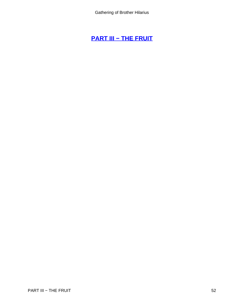# **[PART III − THE FRUIT](#page-78-0)**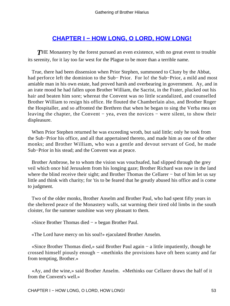# **[CHAPTER I − HOW LONG, O LORD, HOW LONG!](#page-78-0)**

**THE Monastery by the forest pursued an even existence, with no great event to trouble** its serenity, for it lay too far west for the Plague to be more than a terrible name.

 True, there had been dissension when Prior Stephen, summoned to Cluny by the Abbat, had perforce left the dominion to the Sub− Prior. For lo! the Sub−Prior, a mild and most amiable man in his own estate, had proved harsh and overbearing in government. Ay, and in an irate mood he had fallen upon Brother William, the Sacrist, in the Frater, plucked out his hair and beaten him sore; whereat the Convent was no little scandalized, and counselled Brother William to resign his office. He flouted the Chamberlain also, and Brother Roger the Hospitaller, and so affronted the Brethren that when he began to sing the Verba mea on leaving the chapter, the Convent − yea, even the novices − were silent, to show their displeasure.

 When Prior Stephen returned he was exceeding wroth, but said little; only he took from the Sub−Prior his office, and all that appertained thereto, and made him as one of the other monks; and Brother William, who was a gentle and devout servant of God, he made Sub−Prior in his stead; and the Convent was at peace.

 Brother Ambrose, he to whom the vision was vouchsafed, had slipped through the grey veil which once hid Jerusalem from his longing gaze; Brother Richard was now in the land where the blind receive their sight; and Brother Thomas the Cellarer − but of him let us say little and think with charity; for 'tis to be feared that he greatly abused his office and is come to judgment.

 Two of the older monks, Brother Anselm and Brother Paul, who had spent fifty years in the sheltered peace of the Monastery walls, sat warming their tired old limbs in the south cloister, for the summer sunshine was very pleasant to them.

«Since Brother Thomas died − » began Brother Paul.

«The Lord have mercy on his soul!» ejaculated Brother Anselm.

 «Since Brother Thomas died,» said Brother Paul again − a little impatiently, though he crossed himself piously enough − «methinks the provisions have oft been scanty and far from tempting, Brother.»

 «Ay, and the wine,» said Brother Anselm. «Methinks our Cellarer draws the half of it from the Convent's well.»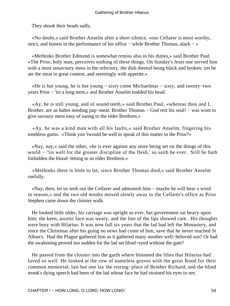They shook their heads sadly.

 «No doubt,» said Brother Anselm after a short silence, «our Cellarer is most worthy, strict, and honest in the performance of his office − while Brother Thomas, alack − »

 «Methinks Brother Edmund is somewhat remiss also in his duties,» said Brother Paul. «The Prior, holy man, perceives nothing of these things. On Sunday's feast one served him with a most unsavoury mess in the refectory, the dish thereof being black and broken; yet he ate the meat in great content, and seemingly with appetite.»

 «He is but young, he is but young − sixty come Michaelmas − sixty, and twenty−two years Prior − 'tis a long term,» and Brother Anselm nodded his head.

 «Ay, he is still young, and of sound teeth,» said Brother Paul, «whereas thou and I, Brother, are as babes needing pap–meat. Brother Thomas – God rest his soul! – was wont to give savoury mess easy of eating to the elder Brethren.»

 «Ay, he was a kind man with all his faults,» said Brother Anselm, fingering his toothless gums. «Think you 'twould be well to speak of this matter to the Prior?»

 «Nay, nay,» said the other, «he is ever against any store being set on the things of this world − ''tis well for the greater discipline of the flesh,' so saith he ever. Still he hath forbidden the blood−letting to us elder Brethren.»

 «Methinks there is little to let, since Brother Thomas died,» said Brother Anselm ruefully.

 «Nay, then, let us seek out the Cellarer and admonish him − maybe he will hear a word in season,» and the two old monks moved slowly away to the Cellarer's office as Prior Stephen came down the cloister walk.

 He looked little older, his carriage was upright as ever, but government sat heavy upon him; the keen, ascetic face was weary, and the line of the lips showed care. His thoughts were busy with Hilarius. It was now full six years that the lad had left the Monastery, and since the Christmas after his going no news had come of him, save that he never reached St Alban's. Had the Plague gathered him as it gathered many another well−beloved son? Or had the awakening proved too sudden for the lad set blind−eyed without the gate?

 He passed from the cloister into the garth where bloomed the lilies that Hilarius had loved so well. He looked at the row of nameless graves with the great Rood for their common memorial; last but one lay the resting−place of Brother Richard, and the blind monk's dying speech had been of the lad whose face he had strained his eyes to see.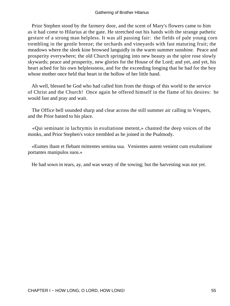Prior Stephen stood by the farmery door, and the scent of Mary's flowers came to him as it had come to Hilarius at the gate. He stretched out his hands with the strange pathetic gesture of a strong man helpless. It was all passing fair: the fields of pale young corn trembling in the gentle breeze; the orchards and vineyards with fast maturing fruit; the meadows where the sleek kine browsed languidly in the warm summer sunshine. Peace and prosperity everywhere; the old Church springing into new beauty as the spire rose slowly skywards; peace and prosperity, new glories for the House of the Lord; and yet, and yet, his heart ached for his own helplessness, and for the exceeding longing that he had for the boy whose mother once held that heart in the hollow of her little hand.

 Ah well, blessed be God who had called him from the things of this world to the service of Christ and the Church! Once again he offered himself in the flame of his desires: he would fast and pray and wait.

 The Office bell sounded sharp and clear across the still summer air calling to Vespers, and the Prior hasted to his place.

 «Qui seminant in lachrymis in exultatione metent,» chanted the deep voices of the monks, and Prior Stephen's voice trembled as he joined in the Psalmody.

 «Euntes ibant et flebant mittentes semina sua. Venientes autem venient cum exultatione portantes manipulos suos.»

He had sown in tears, ay, and was weary of the sowing; but the harvesting was not yet.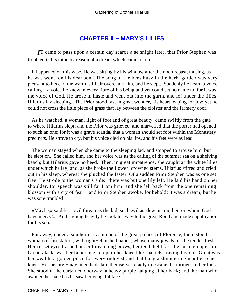# **[CHAPTER II − MARY'S LILIES](#page-78-0)**

*I*T came to pass upon a certain day scarce a se'nnight later, that Prior Stephen was troubled in his mind by reason of a dream which came to him.

 It happened on this wise. He was sitting by his window after the noon repast, musing, as he was wont, on his dear son. The song of the bees busy in the herb−garden was very pleasant to his ear, the warm, still air overcame him, and he slept. Suddenly he heard a voice calling − a voice he knew in every fibre of his being and yet could set no name to, for it was the voice of God. He arose in haste and went out into the garth, and lo! under the lilies Hilarius lay sleeping. The Prior stood fast in great wonder, his heart leaping for joy; yet he could not cross the little piece of grass that lay between the cloister and the farmery door.

 As he watched, a woman, light of foot and of great beauty, came swiftly from the gate to where Hilarius slept; and the Prior was grieved, and marvelled that the porter had opened to such an one; for it was a grave scandal that a woman should set foot within the Monastery precincts. He strove to cry, but his voice died on his lips, and his feet were as lead.

 The woman stayed when she came to the sleeping lad, and stooped to arouse him, but he slept on. She called him, and her voice was as the calling of the summer sea on a shelving beach; but Hilarius gave no heed. Then, in great impatience, she caught at the white lilies under which he lay; and, as she broke the flower−crowned stems, Hilarius stirred and cried out in his sleep, whereat she plucked the faster. Of a sudden Prior Stephen was as one set free. He strode to the woman's side: there was but one lily left. He laid his hand on her shoulder, for speech was still far from him: and she fell back from the one remaining blossom with a cry of fear − and Prior Stephen awoke, for behold! it was a dream; but he was sore troubled.

 «Maybe,» said he, «evil threatens the lad, such evil as slew his mother, on whom God have mercy!» And sighing heavily he took his way to the great Rood and made supplication for his son.

 Far away, under a southern sky, in one of the great palaces of Florence, there stood a woman of fair stature, with tight−clenched hands, whose many jewels bit the tender flesh. Her russet eyes flashed under threatening brows, her teeth held fast the curling upper lip. Great, alack! was her fame: men crept to her knee like spaniels craving favour. Great was her wealth: a golden piece for every ruddy strand that hung a shimmering mantle to her knee. Her beauty − nay, men had slain themselves gladly to escape the torment of her look. She stood in the curtained doorway, a heavy purple hanging at her back; and the man who awaited her paled as he saw her vengeful face.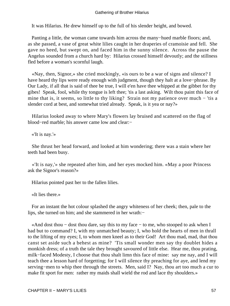It was Hilarius. He drew himself up to the full of his slender height, and bowed.

 Panting a little, the woman came towards him across the many−hued marble floors; and, as she passed, a vase of great white lilies caught in her draperies of cramoisie and fell. She gave no heed, but swept on, and faced him in the sunny silence. Across the pause the Angelus sounded from a church hard by: Hilarius crossed himself devoutly; and the stillness fled before a woman's scornful laugh.

 «Nay, then, Signor,» she cried mockingly, «is ours to be a war of signs and silence? I have heard thy lips were ready enough with judgment, though they halt at a love−phrase. By Our Lady, if all that is said of thee be true, I will e'en have thee whipped at the gibbet for thy gibes! Speak, fool, while thy tongue is left thee; 'tis a last asking. Wilt thou paint this face of mine that is, it seems, so little to thy liking? Strain not my patience over much − 'tis a slender cord at best, and somewhat tried already. Speak, is it yea or nay?»

 Hilarius looked away to where Mary's flowers lay bruised and scattered on the flag of blood−red marble; his answer came low and clear:−

«'It is nay.'»

 She thrust her head forward, and looked at him wondering; there was a stain where her teeth had been busy.

 «'It is nay,'» she repeated after him, and her eyes mocked him. «May a poor Princess ask the Signor's reason?»

Hilarius pointed past her to the fallen lilies.

«It lies there.»

 For an instant the hot colour splashed the angry whiteness of her cheek; then, pale to the lips, she turned on him; and she stammered in her wrath:−

 «And dost thou − dost thou dare, say this to my face − to me, who stooped to ask when I had but to command? I, with my unmatched beauty; I, who hold the hearts of men in thrall to the lifting of my eyes; I, to whom men kneel as to their God! Art thou mad, mad, that thou canst set aside such a behest as mine? 'Tis small wonder men say thy doublet hides a monkish dress; of a truth the tale they brought savoured of little else. Hear me, thou prating, milk−faced Modesty, I choose that thou shalt limn this face of mine: say me nay, and I will teach thee a lesson hard of forgetting; for I will silence thy preaching for aye, and lend my serving−men to whip thee through the streets. Men, said I? Nay, thou art too much a cur to make fit sport for men: rather my maids shall wield the rod and lace thy shoulders.»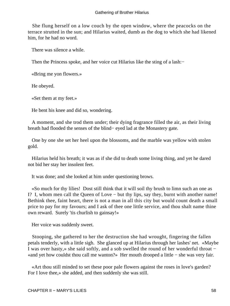She flung herself on a low couch by the open window, where the peacocks on the terrace strutted in the sun; and Hilarius waited, dumb as the dog to which she had likened him, for he had no word.

There was silence a while.

Then the Princess spoke, and her voice cut Hilarius like the sting of a lash:

«Bring me yon flowers.»

He obeyed.

«Set them at my feet.»

He bent his knee and did so, wondering.

 A moment, and she trod them under; their dying fragrance filled the air, as their living breath had flooded the senses of the blind− eyed lad at the Monastery gate.

 One by one she set her heel upon the blossoms, and the marble was yellow with stolen gold.

 Hilarius held his breath; it was as if she did to death some living thing, and yet he dared not bid her stay her insolent feet.

It was done; and she looked at him under questioning brows.

 «So much for thy lilies! Dost still think that it will soil thy brush to limn such an one as I? I, whom men call the Queen of Love − but thy lips, say they, burnt with another name! Bethink thee, faint heart, there is not a man in all this city but would count death a small price to pay for my favours; and I ask of thee one little service, and thou shalt name thine own reward. Surely 'tis churlish to gainsay!»

Her voice was suddenly sweet.

 Stooping, she gathered to her the destruction she had wrought, fingering the fallen petals tenderly, with a little sigh. She glanced up at Hilarius through her lashes' net. «Maybe I was over hasty,» she said softly, and a sob swelled the round of her wonderful throat − «and yet how couldst thou call me wanton?» Her mouth drooped a little − she was very fair.

 «Art thou still minded to set these poor pale flowers against the roses in love's garden? For I love thee,» she added, and then suddenly she was still.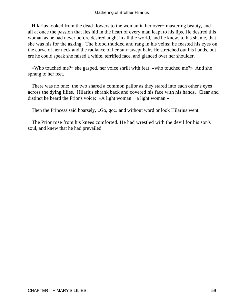Hilarius looked from the dead flowers to the woman in her over− mastering beauty, and all at once the passion that lies hid in the heart of every man leapt to his lips. He desired this woman as he had never before desired aught in all the world, and he knew, to his shame, that she was his for the asking. The blood thudded and rang in his veins; he feasted his eyes on the curve of her neck and the radiance of her sun−swept hair. He stretched out his hands, but ere he could speak she raised a white, terrified face, and glanced over her shoulder.

 «Who touched me?» she gasped, her voice shrill with fear, «who touched me?» And she sprang to her feet.

 There was no one: the two shared a common pallor as they stared into each other's eyes across the dying lilies. Hilarius shrank back and covered his face with his hands. Clear and distinct he heard the Prior's voice: «A light woman − a light woman.»

Then the Princess said hoarsely, «Go, go;» and without word or look Hilarius went.

 The Prior rose from his knees comforted. He had wrestled with the devil for his son's soul, and knew that he had prevailed.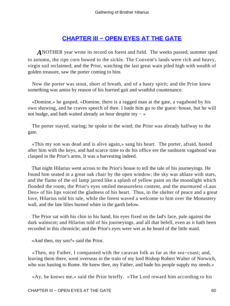# **[CHAPTER III − OPEN EYES AT THE GATE](#page-78-0)**

*A*NOTHER year wrote its record on forest and field. The weeks passed; summer sped to autumn, the ripe corn bowed to the sickle. The Convent's lands were rich and heavy, virgin soil reclaimed; and the Prior, watching the last great wain piled high with wealth of golden treasure, saw the porter coming to him.

 Now the porter was stout, short of breath, and of a hasty spirit; and the Prior knew something was amiss by reason of his hurried gait and wrathful countenance.

 «Domine,» he gasped, «Domine, there is a ragged man at the gate, a vagabond by his own showing, and he craves speech of thee. I bade him go to the guest−house, but he will not budge, and hath waited already an hour despite my − »

 The porter stayed, staring; he spoke to the wind; the Prior was already halfway to the gate.

 «This my son was dead and is alive again,» sang his heart. The porter, afraid, hasted after him with the keys, and had scarce time to do his office ere the sunburnt vagabond was clasped in the Prior's arms. It was a harvesting indeed.

 That night Hilarius went across to the Prior's house to tell the tale of his journeyings. He found him seated in a great oak chair by the open window; the sky was ablaze with stars, and the flame of the oil lamp jarred like a splash of yellow paint on the moonlight which flooded the room; the Prior's eyes smiled measureless content, and the murmured «Laus Deo» of his lips voiced the gladness of his heart. Thus, in the shelter of peace and a great love, Hilarius told his tale, while the forest waved a welcome to him over the Monastery wall, and the late lilies burned white in the garth below.

 The Prior sat with his chin in his hand, his eyes fixed on the lad's face, pale against the dark wainscot; and Hilarius told of his journeyings, and all that befell, even as it hath been recorded in this chronicle; and the Prior's eyes were wet as he heard of the little maid.

«And then, my son?» said the Prior.

 «Then, my Father, I companied with the caravan folk as far as the sea−coast; and, leaving them there, went overseas in the train of my lord Bishop Robert Walter of Norwich, who was hasting to Rome. He knew thee, my Father, and bade his people supply my needs.»

«Ay, he knows me,» said the Prior briefly. «The Lord reward him according to his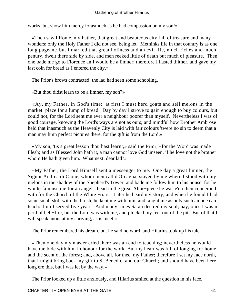works, but show him mercy forasmuch as he had compassion on my son!»

 «Then saw I Rome, my Father, that great and beauteous city full of treasure and many wonders; only the Holy Father I did not see, being let. Methinks life in that country is as one long pageant; but I marked that great holiness and an evil life, much riches and much penury, dwelt there side by side, and men reeked little of death but much of pleasure. Then one bade me go to Florence an I would be a limner; therefore I hasted thither, and gave my last coin for bread as I entered the city.»

The Prior's brows contracted; the lad had seen some schooling.

«But thou didst learn to be a limner, my son?»

 «Ay, my Father, in God's time: at first I must herd goats and sell melons in the market−place for a lump of bread. Day by day I strove to gain enough to buy colours, but could not, for the Lord sent me ever a neighbour poorer than myself. Nevertheless I was of good courage, knowing the Lord's ways are not as ours; and mindful how Brother Ambrose held that inasmuch as the Heavenly City is laid with fair colours 'twere no sin to deem that a man may limn perfect pictures there, for the gift is from the Lord.»

 «My son, 'tis a great lesson thou hast learnt,» said the Prior, «for the Word was made Flesh; and as Blessed John hath it, a man cannot love God unseen, if he love not the brother whom He hath given him. What next, dear lad?»

 «My Father, the Lord Himself sent a messenger to me. One day a great limner, the Signor Andrea di Cione, whom men call d'Orcagna, stayed by me where I stood with my melons in the shadow of the Shepherd's Tower, and bade me follow him to his house, for he would fain use me for an angel's head in the great Altar−piece he was e'en then concerned with for the Church of the White Friars. Later he heard my story; and when he found I had some small skill with the brush, he kept me with him, and taught me as only such an one can teach: him I served five years. And many times Satan desired my soul; nay, once I was in peril of hell−fire, but the Lord was with me, and plucked my feet out of the pit. But of that I will speak anon, at my shriving, as is meet.»

The Prior remembered his dream, but he said no word, and Hilarius took up his tale.

 «Then one day my master cried there was an end to teaching; nevertheless he would have me bide with him in honour for the work. But my heart was full of longing for home and the scent of the forest; and, above all, for thee, my Father; therefore I set my face north, that I might bring back my gift to St Benedict and our Church; and should have been here long ere this, but I was let by the way.»

The Prior looked up a little anxiously, and Hilarius smiled at the question in his face.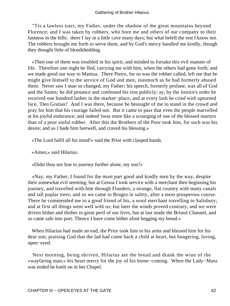"Tis a lawless tract, my Father, under the shadow of the great mountains beyond Florence; and I was taken by robbers, who bore me and others of our company to their fastness in the hills: there I lay in a little cave many days; but what befell the rest I know not. The robbers brought me forth to serve them, and by God's mercy handled me kindly, though they thought little of bloodshedding.

 «Then one of them was troubled in his spirit, and minded to forsake this evil manner of life. Therefore one night he fled, carrying me with him, when the others had gone forth; and we made good our way to Mantua. There Pietro, for so was the robber called, left me that he might give himself to the service of God and men, inasmuch as he had formerly abused them. Never saw I man so changed, my Father; his speech, formerly profane, was all of God and the Saints; he did penance and confessed his sins publicly; ay, by the Justice's order he received one hundred lashes in the market−place, and at every lash he cried with upturned face, 'Deo Gratias!' And I was there, because he besought of me to stand in the crowd and pray for him that his courage failed not. But it came to pass that even the people marvelled at his joyful endurance; and indeed 'twas more like a scourging of one of the blessed martyrs than of a poor sinful robber. After this the Brothers of the Poor took him, for such was his desire; and so I bade him farewell, and craved his blessing.»

«The Lord fulfil all his mind!» said the Prior with clasped hands.

«Amen,» said Hilarius.

«Didst thou not fear to journey further alone, my son?»

 «Nay, my Father, I found for the most part good and kindly men by the way, despite their somewhat evil seeming; but at Genoa I took service with a merchant then beginning his journey, and travelled with him through Flanders, a strange, flat country with many canals and tall poplar trees; and so we came to Bruges in safety, after a most prosperous course. There he commended me to a good friend of his, a wool merchant travelling to Salisbury; and at first all things went well with us; but later the winds proved contrary, and we were driven hither and thither in great peril of our lives, but at last made the Bristol Channel, and so came safe into port. Thence I have come hither afoot begging my bread.»

 When Hilarius had made an end, the Prior took him in his arms and blessed him for his dear son; praising God that the lad had come back a child at heart, but hungering, loving, open−eyed.

 Next morning, being shriven, Hilarius ate the bread and drank the wine of the «wayfaring man,» his heart merry for the joy of his home−coming. When the Lady−Mass was ended he knelt on in her Chapel.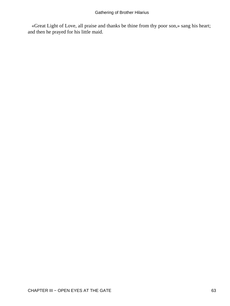«Great Light of Love, all praise and thanks be thine from thy poor son,» sang his heart; and then he prayed for his little maid.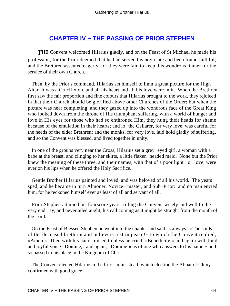## **[CHAPTER IV − THE PASSING OF PRIOR STEPHEN](#page-78-0)**

**THE Convent welcomed Hilarius gladly, and on the Feast of St Michael he made his** profession, for the Prior deemed that he had served his noviciate and been found faithful; and the Brethren assented eagerly, for they were fain to keep this wondrous limner for the service of their own Church.

 Then, by the Prior's command, Hilarius set himself to limn a great picture for the High Altar. It was a Crucifixion, and all his heart and all his love were in it. When the Brethren first saw the fair proportion and fine colours that Hilarius brought to the work, they rejoiced in that their Church should be glorified above other Churches of the Order; but when the picture was near completing, and they gazed up into the wondrous face of the Great King who looked down from the throne of His triumphant suffering, with a world of hunger and love in His eyes for those who had so enthroned Him, they hung their heads for shame because of the emulation in their hearts; and lo! the Cellarer, for very love, was careful for the needs of the elder Brethren; and the monks, for very love, laid hold gladly of suffering, and so the Convent was blessed, and lived together in unity.

 In one of the groups very near the Cross, Hilarius set a grey−eyed girl, a woman with a babe at the breast, and clinging to her skirts, a little flaxen−headed maid. None but the Prior knew the meaning of these three, and their names, with that of a poor light− o'−love, were ever on his lips when he offered the Holy Sacrifice.

 Gentle Brother Hilarius painted and loved, and was beloved of all his world. The years sped, and he became in turn Almoner, Novice− master, and Sub−Prior: and no man envied him, for he reckoned himself ever as least of all and servant of all.

 Prior Stephen attained his fourscore years, ruling the Convent wisely and well to the very end: ay, and never ailed aught, his call coming as it might be straight from the mouth of the Lord.

 On the Feast of Blessed Stephen he went into the chapter and said as always: «The souls of the deceased brethren and believers rest in peace!» to which the Convent replied, «Amen.» Then with his hands raised to bless he cried, «Benedicite,» and again with loud and joyful voice «Domine,» and again, «Domine!» as of one who answers to his name − and so passed to his place in the Kingdom of Christ.

 The Convent elected Hilarius to be Prior in his stead, which election the Abbat of Cluny confirmed with good grace.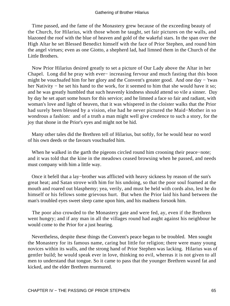Time passed, and the fame of the Monastery grew because of the exceeding beauty of the Church, for Hilarius, with those whom he taught, set fair pictures on the walls, and blazoned the roof with the blue of heaven and gold of the wakeful stars. In the span over the High Altar he set Blessed Benedict himself with the face of Prior Stephen, and round him the angel virtues; even as one Giotto, a shepherd lad, had limned them in the Church of the Little Brothers.

 Now Prior Hilarius desired greatly to set a picture of Our Lady above the Altar in her Chapel. Long did he pray with ever− increasing fervour and much fasting that this boon might be vouchsafed him for her glory and the Convent's greater good. And one day − 'twas her Nativity – he set his hand to the work, for it seemed to him that she would have it so; and he was greatly humbled that such heavenly kindness should attend so vile a sinner. Day by day he set apart some hours for this service; and he limned a face so fair and radiant, with woman's love and light of heaven, that it was whispered in the cloister walks that the Prior had surely been blessed by a vision, else had he never pictured the Maid−Mother in so wondrous a fashion: and of a truth a man might well give credence to such a story, for the joy that shone in the Prior's eyes and might not be hid.

 Many other tales did the Brethren tell of Hilarius, but softly, for he would hear no word of his own deeds or the favours vouchsafed him.

 When he walked in the garth the pigeons circled round him crooning their peace−note; and it was told that the kine in the meadows ceased browsing when he passed, and needs must company with him a little way.

 Once it befell that a lay−brother was afflicted with heavy sickness by reason of the sun's great heat; and Satan strove with him for his undoing, so that the poor soul foamed at the mouth and roared out blasphemy; yea, verily, and must be held with cords also, lest he do himself or his fellows some grievous hurt. But when the Prior laid his hand between the man's troubled eyes sweet sleep came upon him, and his madness forsook him.

 The poor also crowded to the Monastery gate and were fed, ay, even if the Brethren went hungry; and if any man in all the villages round had aught against his neighbour he would come to the Prior for a just hearing.

 Nevertheless, despite these things the Convent's peace began to be troubled. Men sought the Monastery for its famous name, caring but little for religion; there were many young novices within its walls, and the strong hand of Prior Stephen was lacking. Hilarius was of gentler build; he would speak ever in love, thinking no evil, whereas it is not given to all men to understand that tongue. So it came to pass that the younger Brethren waxed fat and kicked, and the elder Brethren murmured.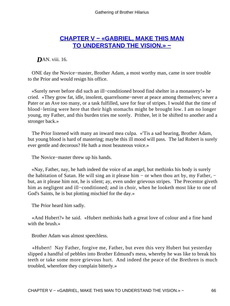# **[CHAPTER V − «GABRIEL, MAKE THIS MAN](#page-78-0) [TO UNDERSTAND THE VISION.» −](#page-78-0)**

*DAN.* viii. 16.

 ONE day the Novice−master, Brother Adam, a most worthy man, came in sore trouble to the Prior and would resign his office.

 «Surely never before did such an ill−conditioned brood find shelter in a monastery!» he cried. «They grow fat, idle, insolent, quarrelsome−never at peace among themselves; never a Pater or an Ave too many, or a task fulfilled, save for fear of stripes. I would that the time of blood−letting were here that their high stomachs might be brought low. I am no longer young, my Father, and this burden tries me sorely. Prithee, let it be shifted to another and a stronger back.»

 The Prior listened with many an inward mea culpa. «'Tis a sad hearing, Brother Adam, but young blood is hard of mastering; maybe this ill mood will pass. The lad Robert is surely ever gentle and decorous? He hath a most beauteous voice.»

The Novice−master threw up his hands.

 «Nay, Father, nay, he hath indeed the voice of an angel, but methinks his body is surely the habitation of Satan. He will sing an it please him − or when thou art by, my Father, − but, an it please him not, he is silent; ay, even under grievous stripes. The Precentor giveth him as negligent and ill−conditioned; and in choir, when he looketh most like to one of God's Saints, he is but plotting mischief for the day.»

The Prior heard him sadly.

 «And Hubert?» he said. «Hubert methinks hath a great love of colour and a fine hand with the brush.»

Brother Adam was almost speechless.

 «Hubert! Nay Father, forgive me, Father, but even this very Hubert but yesterday slipped a handful of pebbles into Brother Edmund's mess, whereby he was like to break his teeth or take some more grievous hurt. And indeed the peace of the Brethren is much troubled, wherefore they complain bitterly.»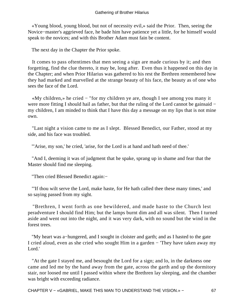«Young blood, young blood, but not of necessity evil,» said the Prior. Then, seeing the Novice−master's aggrieved face, he bade him have patience yet a little, for he himself would speak to the novices; and with this Brother Adam must fain be content.

The next day in the Chapter the Prior spoke.

 It comes to pass oftentimes that men seeing a sign are made curious by it; and then forgetting, find the clue thereto, it may be, long after. Even thus it happened on this day in the Chapter; and when Prior Hilarius was gathered to his rest the Brethren remembered how they had marked and marvelled at the strange beauty of his face, the beauty as of one who sees the face of the Lord.

 «My children,» he cried − "for my children ye are, though I see among you many it were more fitting I should hail as father, but that the ruling of the Lord cannot be gainsaid − my children, I am minded to think that I have this day a message on my lips that is not mine own.

 "Last night a vision came to me as I slept. Blessed Benedict, our Father, stood at my side, and his face was troubled.

"'Arise, my son,' he cried, 'arise, for the Lord is at hand and hath need of thee.'

 "And I, deeming it was of judgment that he spake, sprang up in shame and fear that the Master should find me sleeping.

"Then cried Blessed Benedict again:−

 "'If thou wilt serve the Lord, make haste, for He hath called thee these many times,' and so saying passed from my sight.

 "Brethren, I went forth as one bewildered, and made haste to the Church lest peradventure I should find Him; but the lamps burnt dim and all was silent. Then I turned aside and went out into the night, and it was very dark, with no sound but the wind in the forest trees.

 "My heart was a−hungered, and I sought in cloister and garth; and as I hasted to the gate I cried aloud, even as she cried who sought Him in a garden − 'They have taken away my Lord.'

 "At the gate I stayed me, and besought the Lord for a sign; and lo, in the darkness one came and led me by the hand away from the gate, across the garth and up the dormitory stair, nor loosed me until I passed within where the Brethren lay sleeping, and the chamber was bright with exceeding radiance.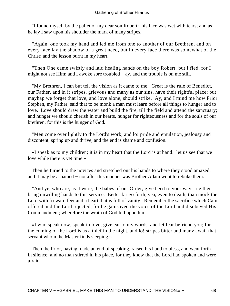"I found myself by the pallet of my dear son Robert: his face was wet with tears; and as he lay I saw upon his shoulder the mark of many stripes.

 "Again, one took my hand and led me from one to another of our Brethren, and on every face lay the shadow of a great need, but in every face there was somewhat of the Christ; and the lesson burnt in my heart.

 "Then One came swiftly and laid healing hands on the boy Robert; but I fled, for I might not see Him; and I awoke sore troubled − ay, and the trouble is on me still.

 "My Brethren, I can but tell the vision as it came to me. Great is the rule of Benedict, our Father, and in it stripes, grievous and many as our sins, have their rightful place; but mayhap we forget that love, and love alone, should strike. Ay, and I mind me how Prior Stephen, my Father, said that to be monk a man must learn before all things to hunger and to love. Love should draw the water and build the fire, till the field and attend the sanctuary; and hunger we should cherish in our hearts, hunger for righteousness and for the souls of our brethren, for this is the hunger of God.

 "Men come over lightly to the Lord's work; and lo! pride and emulation, jealousy and discontent, spring up and thrive, and the end is shame and confusion.

 «I speak as to my children; it is in my heart that the Lord is at hand: let us see that we love while there is yet time.»

 Then he turned to the novices and stretched out his hands to where they stood amazed, and it may be ashamed − not after this manner was Brother Adam wont to rebuke them.

 "And ye, who are, as it were, the babes of our Order, give heed to your ways, neither bring unwilling hands to this service. Better far go forth, yea, even to death, than mock the Lord with froward feet and a heart that is full of vanity. Remember the sacrifice which Cain offered and the Lord rejected, for he gainsayed the voice of the Lord and disobeyed His Commandment; wherefore the wrath of God fell upon him.

 «I who speak now, speak in love; give ear to my words, and let fear befriend you; for the coming of the Lord is as a thief in the night, and lo! stripes bitter and many await that servant whom the Master finds sleeping.»

 Then the Prior, having made an end of speaking, raised his hand to bless, and went forth in silence; and no man stirred in his place, for they knew that the Lord had spoken and were afraid.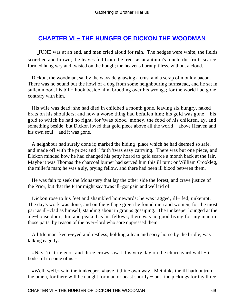## **[CHAPTER VI − THE HUNGER OF DICKON THE WOODMAN](#page-78-0)**

*J*UNE was at an end, and men cried aloud for rain. The hedges were white, the fields scorched and brown; the leaves fell from the trees as at autumn's touch; the fruits scarce formed hung wry and twisted on the bough; the heavens burnt pitiless, without a cloud.

 Dickon, the woodman, sat by the wayside gnawing a crust and a scrap of mouldy bacon. There was no sound but the howl of a dog from some neighbouring farmstead, and he sat in sullen mood, his bill− hook beside him, brooding over his wrongs; for the world had gone contrary with him.

 His wife was dead; she had died in childbed a month gone, leaving six hungry, naked brats on his shoulders; and now a worse thing had befallen him; his gold was gone − his gold to which he had no right, for 'twas blood−money, the food of his children, ay, and something beside; but Dickon loved that gold piece above all the world – above Heaven and his own soul – and it was gone.

 A neighbour had surely done it; marked the hiding−place which he had deemed so safe, and made off with the prize; and i' faith 'twas easy carrying. There was but one piece, and Dickon minded how he had changed his petty hoard to gold scarce a month back at the fair. Maybe it was Thomas the charcoal burner had served him this ill turn; or William Crookleg, the miller's man; he was a sly, prying fellow, and there had been ill blood between them.

 He was fain to seek the Monastery that lay the other side the forest, and crave justice of the Prior, but that the Prior might say 'twas ill−got gain and well rid of.

Dickon rose to his feet and shambled homewards; he was ragged, ill− fed, unkempt. The day's work was done, and on the village green he found men and women, for the most part as ill−clad as himself, standing about in groups gossiping. The innkeeper lounged at the ale−house door, thin and peaked as his fellows; there was no good living for any man in those parts, by reason of the over−lord who sore oppressed them.

 A little man, keen−eyed and restless, holding a lean and sorry horse by the bridle, was talking eagerly.

 «Nay, 'tis true eno', and three crows saw I this very day on the churchyard wall − it bodes ill to some of us.»

 «Well, well,» said the innkeeper, «have it thine own way. Methinks the ill hath outrun the omen, for there will be naught for man or beast shortly − but fine pickings for thy three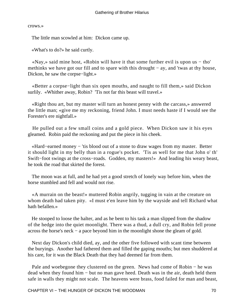crows.»

The little man scowled at him: Dickon came up.

«What's to do?» he said curtly.

 «Nay,» said mine host, «Robin will have it that some further evil is upon us − tho' methinks we have got our fill and to spare with this drought – ay, and 'twas at thy house, Dickon, he saw the corpse−light.»

 «Better a corpse−light than six open mouths, and naught to fill them,» said Dickon surlily. «Whither away, Robin? 'Tis not far this beast will travel.»

 «Right thou art, but my master will turn an honest penny with the carcass,» answered the little man; «give me my reckoning, friend John. I must needs haste if I would see the Forester's ere nightfall.»

 He pulled out a few small coins and a gold piece. When Dickon saw it his eyes gleamed. Robin paid the reckoning and put the piece in his cheek.

 «Hard−earned money − 'tis blood out of a stone to draw wages from my master. Better it should light in my belly than in a rogue's pocket. 'Tis as well for me that John o' th' Swift−foot swings at the cross−roads. Godden, my masters!» And leading his weary beast, he took the road that skirted the forest.

 The moon was at full, and he had yet a good stretch of lonely way before him, when the horse stumbled and fell and would not rise.

 «A murrain on the beast!» muttered Robin angrily, tugging in vain at the creature on whom death had taken pity. «I must e'en leave him by the wayside and tell Richard what hath befallen.»

 He stooped to loose the halter, and as he bent to his task a man slipped from the shadow of the hedge into the quiet moonlight. There was a thud, a dull cry, and Robin fell prone across the horse's neck − a pace beyond him in the moonlight shone the gleam of gold.

 Next day Dickon's child died, ay, and the other five followed with scant time between the buryings. Another had fathered them and filled the gaping mouths; but men shuddered at his care, for it was the Black Death that they had deemed far from them.

Pale and woebegone they clustered on the green. News had come of Robin – he was dead when they found him − but no man gave heed. Death was in the air, death held them safe in walls they might not scale. The heavens were brass, food failed for man and beast,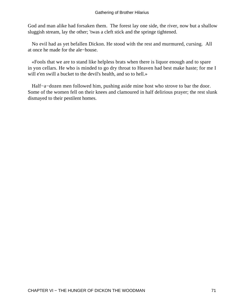God and man alike had forsaken them. The forest lay one side, the river, now but a shallow sluggish stream, lay the other; 'twas a cleft stick and the springe tightened.

 No evil had as yet befallen Dickon. He stood with the rest and murmured, cursing. All at once he made for the ale−house.

 «Fools that we are to stand like helpless brats when there is liquor enough and to spare in yon cellars. He who is minded to go dry throat to Heaven had best make haste; for me I will e'en swill a bucket to the devil's health, and so to hell.»

 Half−a−dozen men followed him, pushing aside mine host who strove to bar the door. Some of the women fell on their knees and clamoured in half delirious prayer; the rest slunk dismayed to their pestilent homes.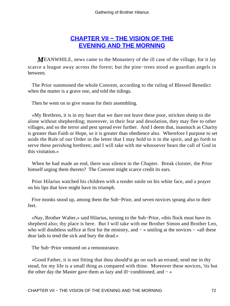### **[CHAPTER VII − THE VISION OF THE](#page-78-0) [EVENING AND THE MORNING](#page-78-0)**

<span id="page-72-0"></span>*M*EANWHILE, news came to the Monastery of the ill case of the village, for it lay scarce a league away across the forest; but the pine−trees stood as guardian angels in between.

 The Prior summoned the whole Convent, according to the ruling of Blessed Benedict when the matter is a grave one, and told the tidings.

Then he went on to give reason for their assembling.

 «My Brethren, it is in my heart that we dare not leave these poor, stricken sheep to die alone without shepherding; moreover, in their fear and desolation, they may flee to other villages, and so the terror and pest spread ever further. And I deem that, inasmuch as Charity is greater than Faith or Hope, so it is greater than obedience also. Wherefore I purpose to set aside the Rule of our Order in the letter that I may hold to it in the spirit, and go forth to serve these perishing brethren; and I will take with me whosoever hears the call of God in this visitation.»

 When he had made an end, there was silence in the Chapter. Break cloister, the Prior himself urging them thereto? The Convent might scarce credit its ears.

 Prior Hilarius watched his children with a tender smile on his white face, and a prayer on his lips that love might have its triumph.

 Five monks stood up, among them the Sub−Prior, and seven novices sprang also to their feet.

 «Nay, Brother Walter,» said Hilarius, turning to the Sub−Prior, «this flock must have its shepherd also; thy place is here. But I will take with me Brother Simon and Brother Leo, who will doubtless suffice at first for the ministry, and  $-$  » smiling at the novices  $-$  «all these dear lads to tend the sick and bury the dead.»

The Sub−Prior ventured on a remonstrance.

 «Good Father, it is not fitting that thou should'st go on such an errand; send me in thy stead, for my life is a small thing as compared with thine. Moreover these novices, 'tis but the other day the Master gave them as lazy and ill−conditioned, and − »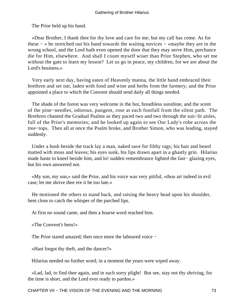The Prior held up his hand.

 «Dear Brother, I thank thee for thy love and care for me; but my call has come. As for these − » he stretched out his hand towards the waiting novices − «maybe they are in the wrong school, and the Lord hath even opened the door that they may serve Him, perchance die for Him, elsewhere. And shall I count myself wiser than Prior Stephen, who set me without the gate to learn my lesson? Let us go in peace, my children, for we are about the Lord's business.»

 Very early next day, having eaten of Heavenly manna, the little band embraced their brethren and set out, laden with food and wine and herbs from the farmery; and the Prior appointed a place to which the Convent should send daily all things needed.

 The shade of the forest was very welcome in the hot, breathless sunshine, and the scent of the pine−needles, odorous, pungent, rose at each footfall from the silent path. The Brethren chanted the Gradual Psalms as they paced two and two through the sun−lit aisles, full of the Prior's memories; and he looked up again to see Our Lady's robe across the tree−tops. Then all at once the Psalm broke, and Brother Simon, who was leading, stayed suddenly.

 Under a bush beside the track lay a man, naked save for filthy rags; his hair and beard matted with moss and leaves; his eyes sunk, his lips drawn apart in a ghastly grin. Hilarius made haste to kneel beside him, and lo! sudden remembrance lighted the fast− glazing eyes, but his own answered not.

 «My son, my son,» said the Prior, and his voice was very pitiful, «thou art indeed in evil case; let me shrive thee ere it be too late.»

 He motioned the others to stand back, and raising the heavy head upon his shoulder, bent close to catch the whisper of the parched lips.

At first no sound came, and then a hoarse word reached him.

«The Convent's hens!»

The Prior stared amazed; then once more the laboured voice −

«Hast forgot thy theft, and the dancer?»

Hilarius needed no further word; in a moment the years were wiped away.

 «Lad, lad, to find thee again, and in such sorry plight! But see, stay not thy shriving, for the time is short, and the Lord ever ready to pardon.»

CHAPTER VII – THE VISION OF THE EVENING AND THE MORNING 73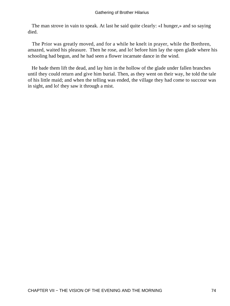The man strove in vain to speak. At last he said quite clearly: «I hunger,» and so saying died.

 The Prior was greatly moved, and for a while he knelt in prayer, while the Brethren, amazed, waited his pleasure. Then he rose, and lo! before him lay the open glade where his schooling had begun, and he had seen a flower incarnate dance in the wind.

 He bade them lift the dead, and lay him in the hollow of the glade under fallen branches until they could return and give him burial. Then, as they went on their way, he told the tale of his little maid; and when the telling was ended, the village they had come to succour was in sight, and lo! they saw it through a mist.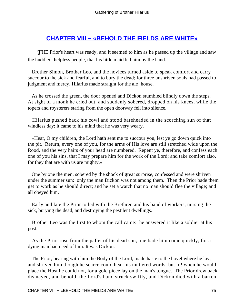### **[CHAPTER VIII − «BEHOLD THE FIELDS ARE WHITE»](#page-79-0)**

<span id="page-75-0"></span>**THE Prior's heart was ready, and it seemed to him as he passed up the village and saw** the huddled, helpless people, that his little maid led him by the hand.

 Brother Simon, Brother Leo, and the novices turned aside to speak comfort and carry succour to the sick and fearful, and to bury the dead; for three unshriven souls had passed to judgment and mercy. Hilarius made straight for the ale−house.

 As he crossed the green, the door opened and Dickon stumbled blindly down the steps. At sight of a monk he cried out, and suddenly sobered, dropped on his knees, while the topers and roysterers staring from the open doorway fell into silence.

 Hilarius pushed back his cowl and stood bareheaded in the scorching sun of that windless day; it came to his mind that he was very weary.

 «Hear, O my children, the Lord hath sent me to succour you, lest ye go down quick into the pit. Return, every one of you, for the arms of His love are still stretched wide upon the Rood, and the very hairs of your head are numbered. Repent ye, therefore, and confess each one of you his sins, that I may prepare him for the work of the Lord; and take comfort also, for they that are with us are mighty.»

 One by one the men, sobered by the shock of great surprise, confessed and were shriven under the summer sun: only the man Dickon was not among them. Then the Prior bade them get to work as he should direct; and he set a watch that no man should flee the village; and all obeyed him.

 Early and late the Prior toiled with the Brethren and his band of workers, nursing the sick, burying the dead, and destroying the pestilent dwellings.

 Brother Leo was the first to whom the call came: he answered it like a soldier at his post.

 As the Prior rose from the pallet of his dead son, one bade him come quickly, for a dying man had need of him. It was Dickon.

 The Prior, bearing with him the Body of the Lord, made haste to the hovel where he lay, and shrived him though he scarce could hear his muttered words; but lo! when he would place the Host he could not, for a gold piece lay on the man's tongue. The Prior drew back dismayed, and behold, the Lord's hand struck swiftly, and Dickon died with a barren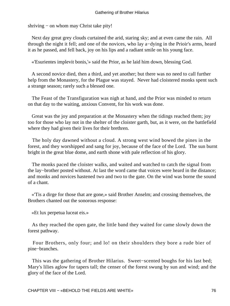shriving − on whom may Christ take pity!

 Next day great grey clouds curtained the arid, staring sky; and at even came the rain. All through the night it fell; and one of the novices, who lay a−dying in the Prioir's arms, heard it as he passed, and fell back, joy on his lips and a radiant smile on his young face.

«'Esurientes implevit bonis,'» said the Prior, as he laid him down, blessing God.

 A second novice died, then a third, and yet another; but there was no need to call further help from the Monastery, for the Plague was stayed. Never had cloistered monks spent such a strange season; rarely such a blessed one.

 The Feast of the Transfiguration was nigh at hand, and the Prior was minded to return on that day to the waiting, anxious Convent, for his work was done.

 Great was the joy and preparation at the Monastery when the tidings reached them; joy too for those who lay not in the shelter of the cloister garth, but, as it were, on the battlefield where they had given their lives for their brethren.

 The holy day dawned without a cloud. A strong west wind bowed the pines in the forest, and they worshipped and sang for joy, because of the face of the Lord. The sun burnt bright in the great blue dome, and earth shone with pale reflection of his glory.

 The monks paced the cloister walks, and waited and watched to catch the signal from the lay−brother posted without. At last the word came that voices were heard in the distance; and monks and novices hastened two and two to the gate. On the wind was borne the sound of a chant.

 «'Tis a dirge for those that are gone,» said Brother Anselm; and crossing themselves, the Brothers chanted out the sonorous response:

«Et lux perpetua luceat eis.»

 As they reached the open gate, the little band they waited for came slowly down the forest pathway.

 Four Brothers, only four; and lo! on their shoulders they bore a rude bier of pine−branches.

 This was the gathering of Brother Hilarius. Sweet−scented boughs for his last bed; Mary's lilies aglow for tapers tall; the censer of the forest swung by sun and wind; and the glory of the face of the Lord.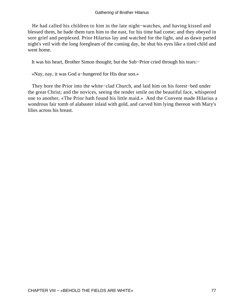He had called his children to him in the late night−watches, and having kissed and blessed them, he bade them turn him to the east, for his time had come; and they obeyed in sore grief and perplexed. Prior Hilarius lay and watched for the light, and as dawn parted night's veil with the long foregleam of the coming day, he shut his eyes like a tired child and went home.

It was his heart, Brother Simon thought; but the Sub−Prior cried through his tears:−

«Nay, nay, it was God a−hungered for His dear son.»

 They bore the Prior into the white−clad Church, and laid him on his forest−bed under the great Christ; and the novices, seeing the tender smile on the beautiful face, whispered one to another, «The Prior hath found his little maid.» And the Convent made Hilarius a wondrous fair tomb of alabaster inlaid with gold, and carved him lying thereon with Mary's lilies across his breast.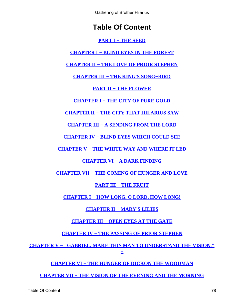Gathering of Brother Hilarius

# **Table Of Content**

#### **[PART I − THE SEED](#page-3-0)**

<span id="page-78-0"></span>**[CHAPTER I − BLIND EYES IN THE FOREST](#page-4-0)**

**[CHAPTER II − THE LOVE OF PRIOR STEPHEN](#page-10-0)**

**[CHAPTER III − THE KING'S SONG−BIRD](#page-13-0)**

**[PART II − THE FLOWER](#page-19-0)**

**[CHAPTER I − THE CITY OF PURE GOLD](#page-20-0)**

**[CHAPTER II − THE CITY THAT HILARIUS SAW](#page-24-0)**

**[CHAPTER III − A SENDING FROM THE LORD](#page-27-0)**

**[CHAPTER IV − BLIND EYES WHICH COULD SEE](#page-31-0)**

**[CHAPTER V − THE WHITE WAY AND WHERE IT LED](#page-34-0)**

### **[CHAPTER VI − A DARK FINDING](#page-39-0)**

**[CHAPTER VII − THE COMING OF HUNGER AND LOVE](#page-45-0)**

### **[PART III − THE FRUIT](#page-52-0)**

**[CHAPTER I − HOW LONG, O LORD, HOW LONG!](#page-53-0)**

### **[CHAPTER II − MARY'S LILIES](#page-56-0)**

### **[CHAPTER III − OPEN EYES AT THE GATE](#page-60-0)**

**[CHAPTER IV − THE PASSING OF PRIOR STEPHEN](#page-64-0)**

**[CHAPTER V − "GABRIEL, MAKE THIS MAN TO UNDERSTAND THE VISION."](#page-66-0) [−](#page-66-0)**

### **[CHAPTER VI − THE HUNGER OF DICKON THE WOODMAN](#page-69-0)**

**[CHAPTER VII − THE VISION OF THE EVENING AND THE MORNING](#page-72-0)**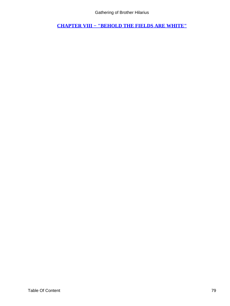Gathering of Brother Hilarius

<span id="page-79-0"></span>**[CHAPTER VIII − "BEHOLD THE FIELDS ARE WHITE"](#page-75-0)**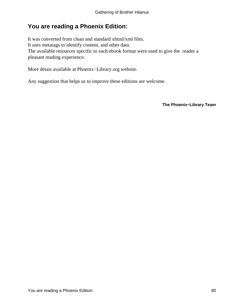# **You are reading a Phoenix Edition:**

It was converted from clean and standard xhtml/xml files. It uses metatags to identify content, and other data. The available resources specific to each ebook format were used to give the reader a pleasant reading experience.

More detais available at Phoenix−Library.org website.

Any suggestion that helps us to improve these editions are welcome.

**The Phoenix−Library Team**